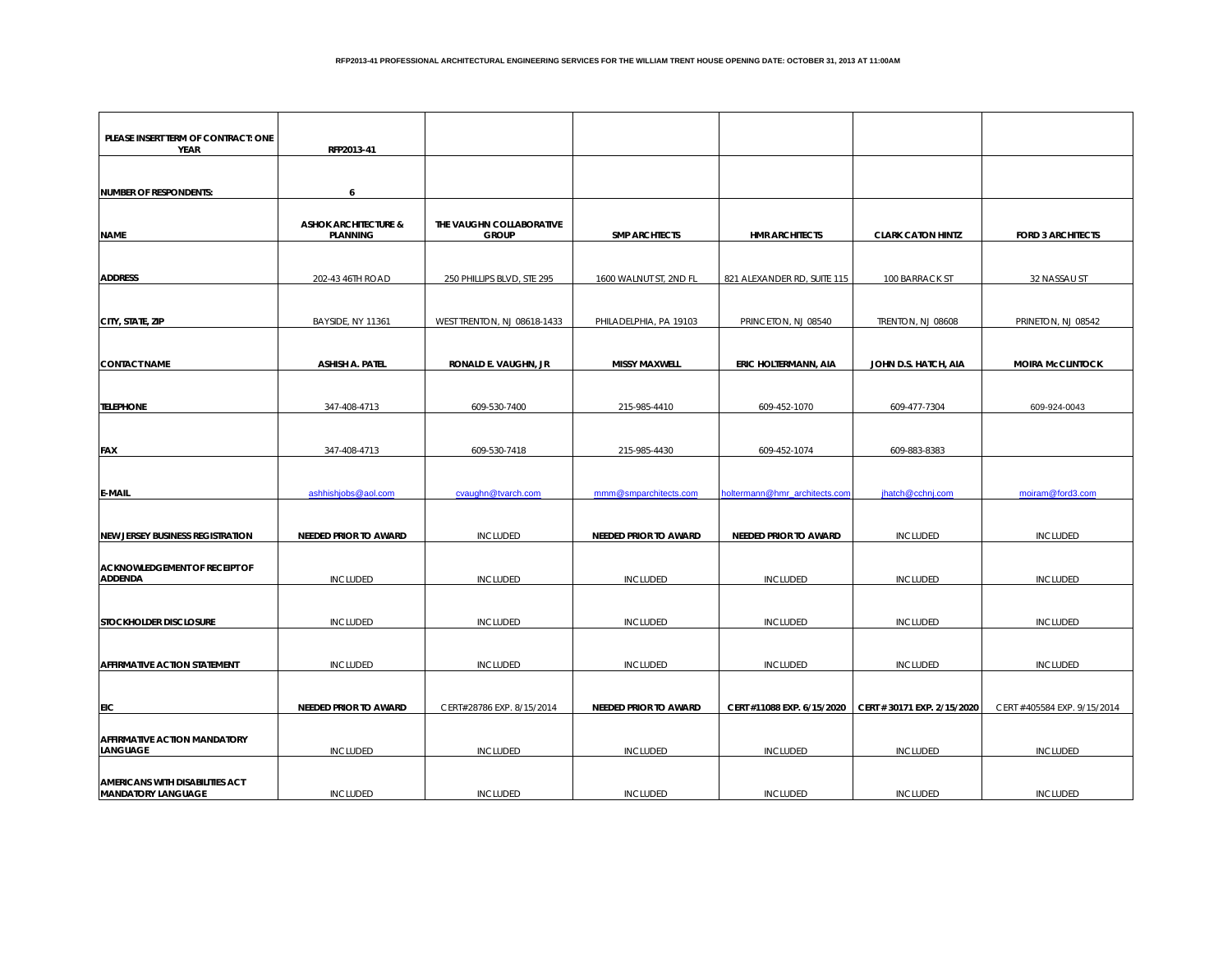| PLEASE INSERT TERM OF CONTRACT: ONE     |                                 |                             |                              |                               |                             |                             |
|-----------------------------------------|---------------------------------|-----------------------------|------------------------------|-------------------------------|-----------------------------|-----------------------------|
| <b>YEAR</b>                             | RFP2013-41                      |                             |                              |                               |                             |                             |
|                                         |                                 |                             |                              |                               |                             |                             |
| <b>NUMBER OF RESPONDENTS:</b>           | 6                               |                             |                              |                               |                             |                             |
|                                         |                                 |                             |                              |                               |                             |                             |
|                                         | <b>ASHOK ARCHITECTURE &amp;</b> | THE VAUGHN COLLABORATIVE    |                              |                               |                             |                             |
| <b>NAME</b>                             | <b>PLANNING</b>                 | <b>GROUP</b>                | <b>SMP ARCHTECTS</b>         | <b>HMR ARCHITECTS</b>         | <b>CLARK CATON HINTZ</b>    | <b>FORD 3 ARCHITECTS</b>    |
|                                         |                                 |                             |                              |                               |                             |                             |
| <b>ADDRESS</b>                          | 202-43 46TH ROAD                | 250 PHILLIPS BLVD, STE 295  | 1600 WALNUT ST, 2ND FL       | 821 ALEXANDER RD, SUITE 115   | 100 BARRACK ST              | 32 NASSAU ST                |
|                                         |                                 |                             |                              |                               |                             |                             |
| CITY, STATE, ZIP                        | BAYSIDE, NY 11361               | WEST TRENTON, NJ 08618-1433 | PHILADELPHIA, PA 19103       | PRINCETON, NJ 08540           | TRENTON, NJ 08608           | PRINETON, NJ 08542          |
|                                         |                                 |                             |                              |                               |                             |                             |
|                                         |                                 |                             |                              |                               |                             |                             |
| <b>CONTACT NAME</b>                     | ASHISH A. PATEL                 | RONALD E. VAUGHN, JR        | <b>MISSY MAXWELL</b>         | ERIC HOLTERMANN, AIA          | JOHN D.S. HATCH, AIA        | <b>MOIRA McCLINTOCK</b>     |
|                                         |                                 |                             |                              |                               |                             |                             |
| <b>TELEPHONE</b>                        | 347-408-4713                    | 609-530-7400                | 215-985-4410                 | 609-452-1070                  | 609-477-7304                | 609-924-0043                |
|                                         |                                 |                             |                              |                               |                             |                             |
|                                         |                                 |                             |                              |                               |                             |                             |
| FAX                                     | 347-408-4713                    | 609-530-7418                | 215-985-4430                 | 609-452-1074                  | 609-883-8383                |                             |
|                                         |                                 |                             |                              |                               |                             |                             |
| <b>E-MAIL</b>                           | ashhishjobs@aol.com             | cvaughn@tvarch.com          | mmm@smparchitects.com        | holtermann@hmr_architects.com | jhatch@cchnj.com            | moiram@ford3.com            |
|                                         |                                 |                             |                              |                               |                             |                             |
|                                         |                                 |                             |                              |                               |                             |                             |
| <b>NEW JERSEY BUSINESS REGISTRATION</b> | <b>NEEDED PRIOR TO AWARD</b>    | <b>INCLUDED</b>             | <b>NEEDED PRIOR TO AWARD</b> | <b>NEEDED PRIOR TO AWARD</b>  | <b>INCLUDED</b>             | <b>INCLUDED</b>             |
| <b>ACKNOWLEDGEMENT OF RECEIPT OF</b>    |                                 |                             |                              |                               |                             |                             |
| <b>ADDENDA</b>                          | <b>INCLUDED</b>                 | <b>INCLUDED</b>             | <b>INCLUDED</b>              | <b>INCLUDED</b>               | <b>INCLUDED</b>             | <b>INCLUDED</b>             |
|                                         |                                 |                             |                              |                               |                             |                             |
| STOCKHOLDER DISCLOSURE                  | <b>INCLUDED</b>                 | <b>INCLUDED</b>             | <b>INCLUDED</b>              | <b>INCLUDED</b>               | <b>INCLUDED</b>             | <b>INCLUDED</b>             |
|                                         |                                 |                             |                              |                               |                             |                             |
|                                         |                                 |                             |                              |                               |                             |                             |
| <b>AFFIRMATIVE ACTION STATEMENT</b>     | <b>INCLUDED</b>                 | <b>INCLUDED</b>             | <b>INCLUDED</b>              | <b>INCLUDED</b>               | <b>INCLUDED</b>             | <b>INCLUDED</b>             |
|                                         |                                 |                             |                              |                               |                             |                             |
| EIC                                     | NEEDED PRIOR TO AWARD           | CERT#28786 EXP. 8/15/2014   | NEEDED PRIOR TO AWARD        | CERT #11088 EXP. 6/15/2020    | CERT # 30171 EXP. 2/15/2020 | CERT #405584 EXP. 9/15/2014 |
|                                         |                                 |                             |                              |                               |                             |                             |
| <b>AFFIRMATIVE ACTION MANDATORY</b>     |                                 |                             |                              |                               |                             |                             |
| LANGUAGE                                | <b>INCLUDED</b>                 | <b>INCLUDED</b>             | <b>INCLUDED</b>              | <b>INCLUDED</b>               | <b>INCLUDED</b>             | <b>INCLUDED</b>             |
| <b>AMERICANS WITH DISABILITIES ACT</b>  |                                 |                             |                              |                               |                             |                             |
| <b>MANDATORY LANGUAGE</b>               | <b>INCLUDED</b>                 | <b>INCLUDED</b>             | <b>INCLUDED</b>              | <b>INCLUDED</b>               | <b>INCLUDED</b>             | <b>INCLUDED</b>             |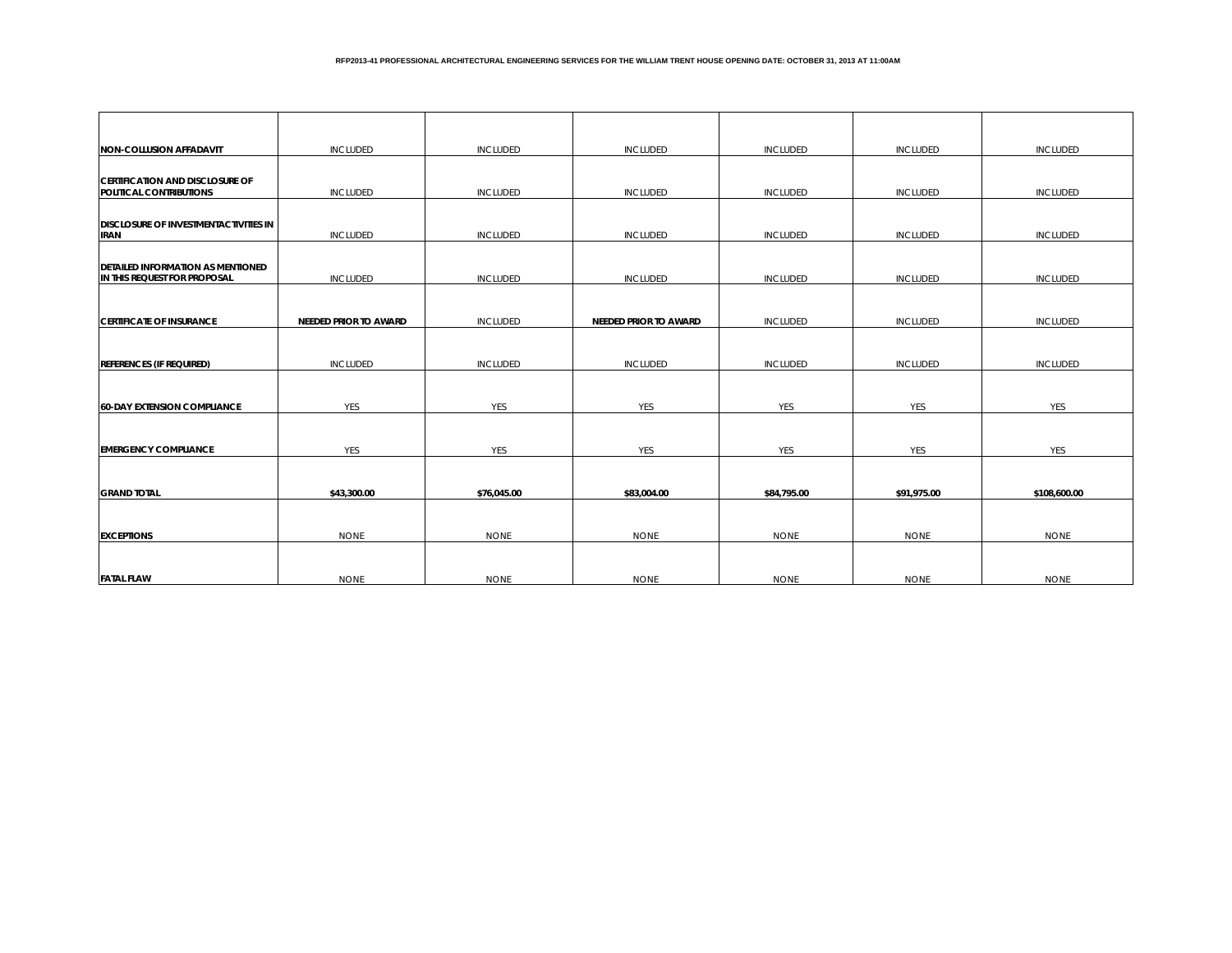| <b>NON-COLLUSION AFFADAVIT</b>                                           | <b>INCLUDED</b>       | <b>INCLUDED</b> | <b>INCLUDED</b>              | <b>INCLUDED</b> | <b>INCLUDED</b> | <b>INCLUDED</b> |
|--------------------------------------------------------------------------|-----------------------|-----------------|------------------------------|-----------------|-----------------|-----------------|
|                                                                          |                       |                 |                              |                 |                 |                 |
| <b>CERTIFICATION AND DISCLOSURE OF</b><br>POLITICAL CONTRIBUTIONS        | <b>INCLUDED</b>       | <b>INCLUDED</b> | <b>INCLUDED</b>              | <b>INCLUDED</b> | <b>INCLUDED</b> | <b>INCLUDED</b> |
|                                                                          |                       |                 |                              |                 |                 |                 |
| <b>DISCLOSURE OF INVESTMENTACTIVITIES IN</b><br><b>IRAN</b>              | <b>INCLUDED</b>       | <b>INCLUDED</b> | <b>INCLUDED</b>              | <b>INCLUDED</b> | <b>INCLUDED</b> | <b>INCLUDED</b> |
|                                                                          |                       |                 |                              |                 |                 |                 |
| <b>DETAILED INFORMATION AS MENTIONED</b><br>IN THIS REQUEST FOR PROPOSAL | <b>INCLUDED</b>       | <b>INCLUDED</b> | <b>INCLUDED</b>              | <b>INCLUDED</b> | <b>INCLUDED</b> | <b>INCLUDED</b> |
|                                                                          |                       |                 |                              |                 |                 |                 |
| <b>CERTIFICATE OF INSURANCE</b>                                          | NEEDED PRIOR TO AWARD | <b>INCLUDED</b> | <b>NEEDED PRIOR TO AWARD</b> | <b>INCLUDED</b> | <b>INCLUDED</b> | <b>INCLUDED</b> |
|                                                                          |                       |                 |                              |                 |                 |                 |
| <b>REFERENCES (IF REQUIRED)</b>                                          | <b>INCLUDED</b>       | <b>INCLUDED</b> | <b>INCLUDED</b>              | <b>INCLUDED</b> | <b>INCLUDED</b> | <b>INCLUDED</b> |
|                                                                          |                       |                 |                              |                 |                 |                 |
| <b>60-DAY EXTENSION COMPLIANCE</b>                                       | YES                   | YES             | YES                          | <b>YES</b>      | YES             | YES             |
|                                                                          |                       |                 |                              |                 |                 |                 |
| <b>EMERGENCY COMPLIANCE</b>                                              | YES                   | <b>YES</b>      | <b>YES</b>                   | <b>YES</b>      | <b>YES</b>      | YES             |
|                                                                          |                       |                 |                              |                 |                 |                 |
| <b>GRAND TOTAL</b>                                                       | \$43,300.00           | \$76,045.00     | \$83,004.00                  | \$84,795.00     | \$91,975.00     | \$108,600.00    |
|                                                                          |                       |                 |                              |                 |                 |                 |
| <b>EXCEPTIONS</b>                                                        | <b>NONE</b>           | <b>NONE</b>     | <b>NONE</b>                  | <b>NONE</b>     | <b>NONE</b>     | <b>NONE</b>     |
|                                                                          |                       |                 |                              |                 |                 |                 |
| <b>FATAL FLAW</b>                                                        | <b>NONE</b>           | <b>NONE</b>     | <b>NONE</b>                  | <b>NONE</b>     | <b>NONE</b>     | <b>NONE</b>     |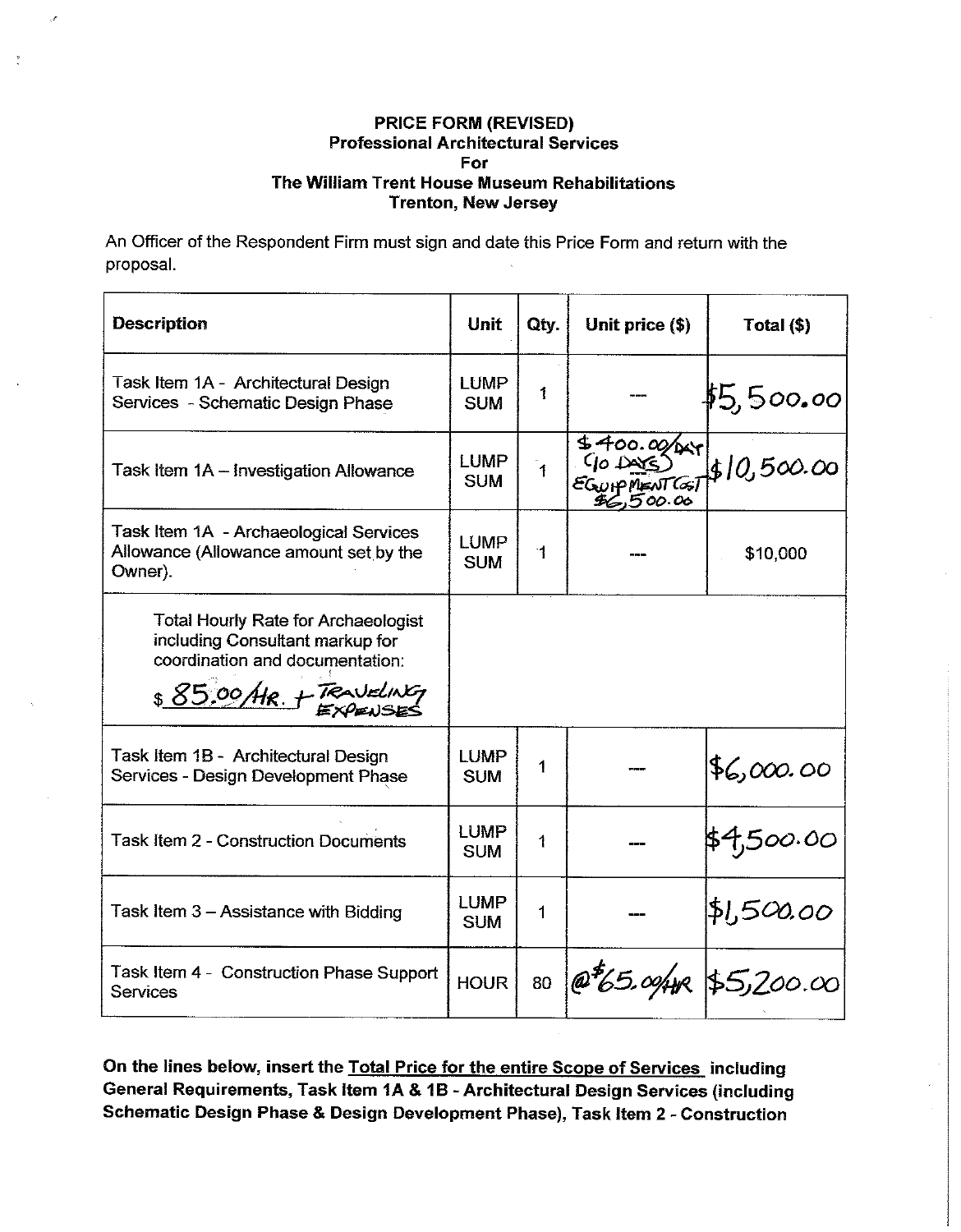An Officer of the Respondent Firm must sign and date this Price Form and return with the proposal.

 $\mathcal{A}$ 

 $\frac{5}{2}$ 

| <b>Description</b>                                                                                                                          | <b>Unit</b>               | Qty.         | Unit price (\$)                                          | Total (\$)  |
|---------------------------------------------------------------------------------------------------------------------------------------------|---------------------------|--------------|----------------------------------------------------------|-------------|
| Task Item 1A - Architectural Design<br>Services - Schematic Design Phase                                                                    | <b>LUMP</b><br><b>SUM</b> | 1            |                                                          | \$5,500.00  |
| Task Item 1A - Investigation Allowance                                                                                                      | <b>LUMP</b><br><b>SUM</b> | $\mathbf{A}$ | $\frac{1}{400.00 \times 1}$<br>(10.005)<br>EGUIPMENT COT | \$10,500.00 |
| Task Item 1A - Archaeological Services<br>Allowance (Allowance amount set by the<br>Owner).                                                 | LUMP<br><b>SUM</b>        | 1            |                                                          | \$10,000    |
| <b>Total Hourly Rate for Archaeologist</b><br>including Consultant markup for<br>coordination and documentation:<br>\$85.00 AR. + TRAVELING |                           |              |                                                          |             |
| Task Item 1B - Architectural Design<br>Services - Design Development Phase                                                                  | <b>LUMP</b><br><b>SUM</b> | 1            |                                                          | 86,000.00   |
| <b>Task Item 2 - Construction Documents</b>                                                                                                 | LUMP<br><b>SUM</b>        | 1            |                                                          | \$4,500.00  |
| Task Item 3 - Assistance with Bidding                                                                                                       | <b>LUMP</b><br><b>SUM</b> | 1            |                                                          | \$1,500.00  |
| Task Item 4 - Construction Phase Support<br><b>Services</b>                                                                                 | <b>HOUR</b>               | 80           | $\phi^{5}$ 65.00/HR \$5,200.00                           |             |

On the lines below, insert the Total Price for the entire Scope of Services including General Requirements, Task Item 1A & 1B - Architectural Design Services (including Schematic Design Phase & Design Development Phase), Task Item 2 - Construction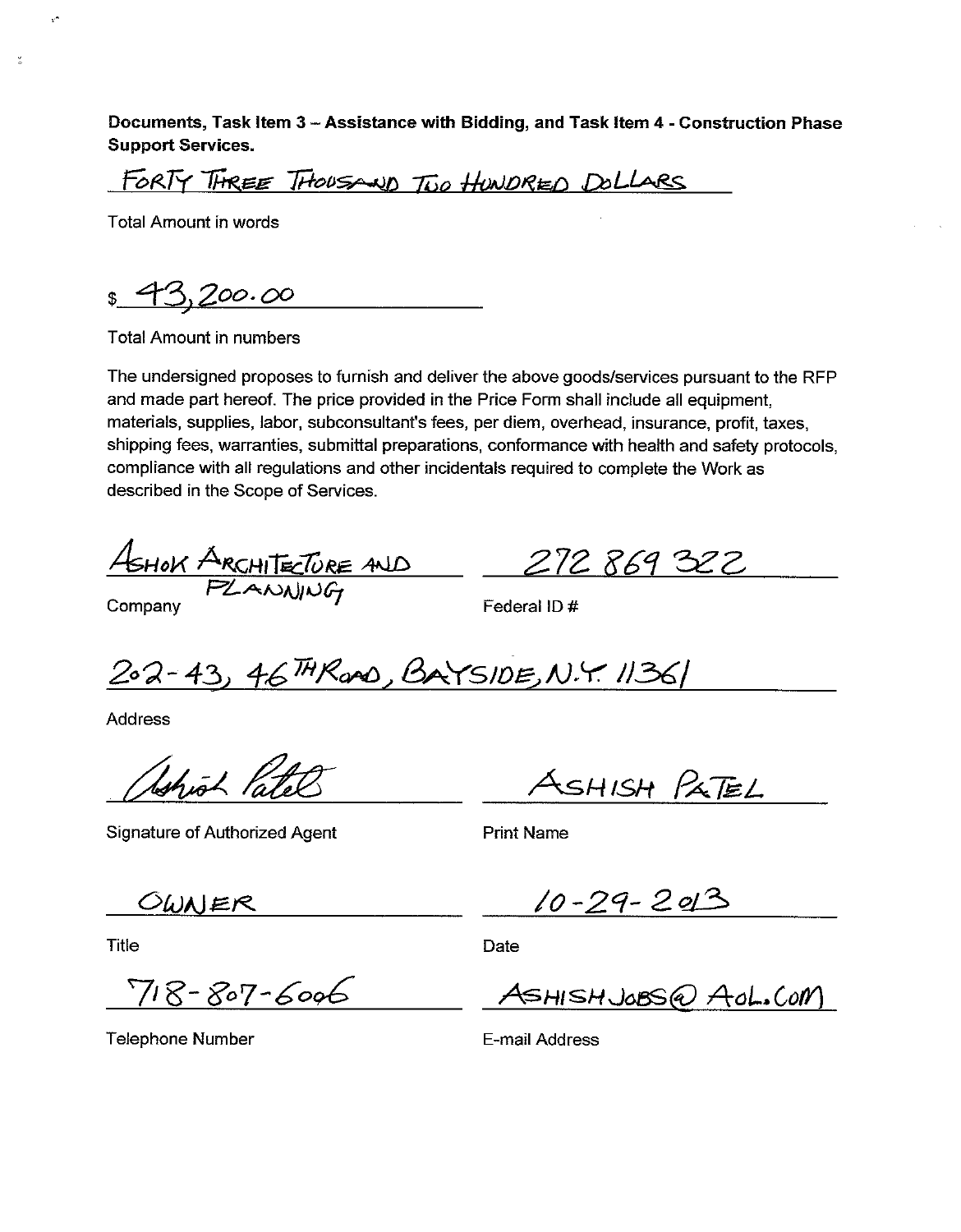Documents, Task Item 3 - Assistance with Bidding, and Task Item 4 - Construction Phase **Support Services.** 

FORTY THREE THOUSAND TWO HUNDRED DOLLARS

**Total Amount in words** 

V

 $\tilde{\phantom{a}}$ 

 $200.00$  $\mathfrak{S}^-$ 

**Total Amount in numbers** 

The undersigned proposes to furnish and deliver the above goods/services pursuant to the RFP and made part hereof. The price provided in the Price Form shall include all equipment. materials, supplies, labor, subconsultant's fees, per diem, overhead, insurance, profit, taxes, shipping fees, warranties, submittal preparations, conformance with health and safety protocols, compliance with all regulations and other incidentals required to complete the Work as described in the Scope of Services.

ASHOK ARCHITECTURE AND

Company

Federal ID#

202-43, 46 MRano, BAYSIDE, N.Y. 11361

Address

Shiot Par

**Signature of Authorized Agent** 

ASHISH PATEL

272 869 322

**Print Name** 

OWNER

Title

 $718 - 807 - 6006$ 

 $10 - 29 - 2013$ 

Date

ASHISHJOBS@ AOL.COM

Telephone Number

E-mail Address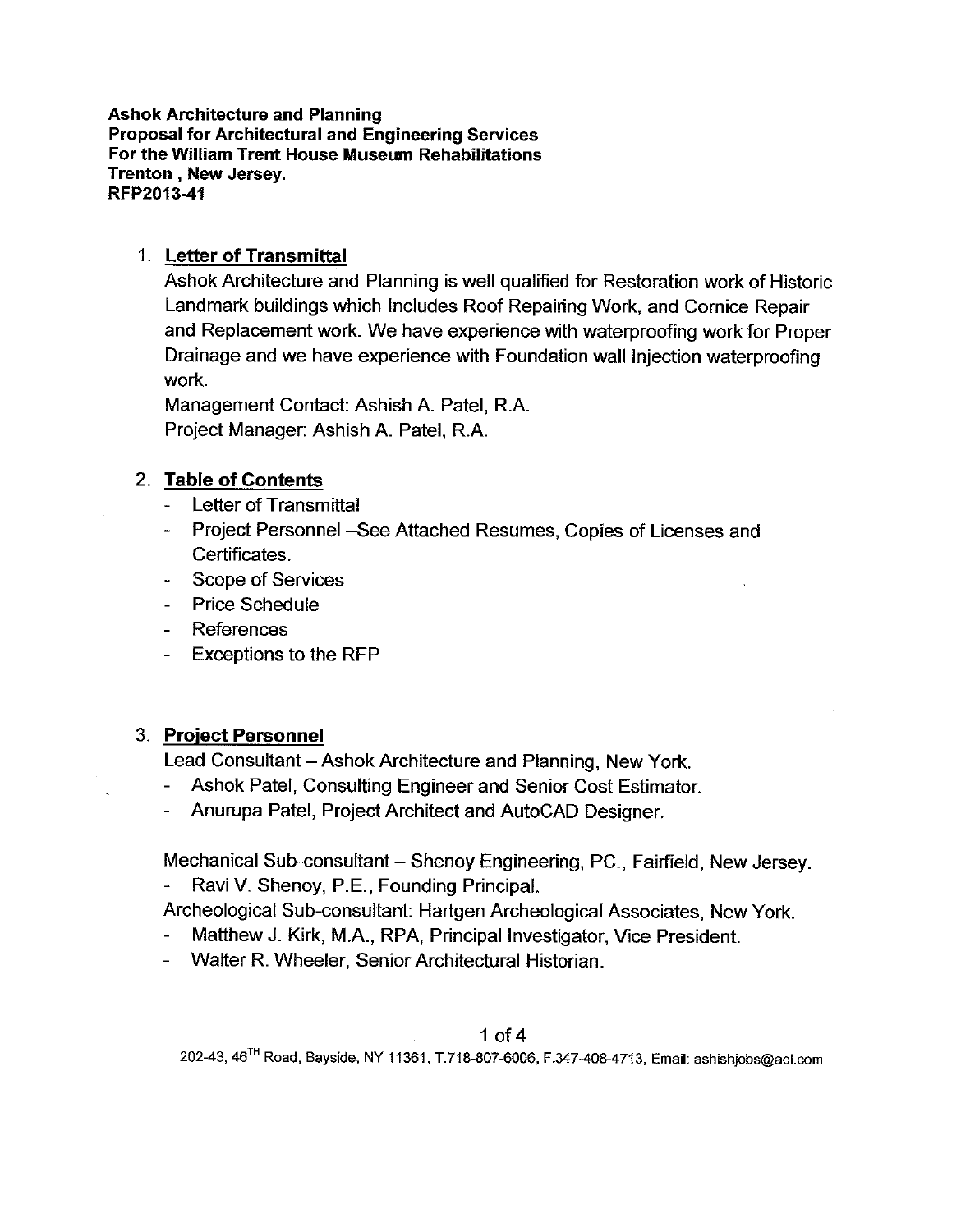**Ashok Architecture and Planning Proposal for Architectural and Engineering Services** For the William Trent House Museum Rehabilitations Trenton, New Jersey. RFP2013-41

## 1. Letter of Transmittal

Ashok Architecture and Planning is well qualified for Restoration work of Historic Landmark buildings which Includes Roof Repairing Work, and Cornice Repair and Replacement work. We have experience with waterproofing work for Proper Drainage and we have experience with Foundation wall Injection waterproofing work.

Management Contact: Ashish A. Patel, R.A. Project Manager: Ashish A. Patel, R.A.

## 2. Table of Contents

- **Letter of Transmittal**  $\omega$  .
- Project Personnel -See Attached Resumes, Copies of Licenses and Certificates.
- **Scope of Services**
- **Price Schedule**
- References
- **Exceptions to the RFP**

## 3. Project Personnel

Lead Consultant – Ashok Architecture and Planning, New York.

- Ashok Patel, Consulting Engineer and Senior Cost Estimator.
- Anurupa Patel, Project Architect and AutoCAD Designer.

Mechanical Sub-consultant - Shenoy Engineering, PC., Fairfield, New Jersey.

Ravi V. Shenoy, P.E., Founding Principal.

Archeological Sub-consultant: Hartgen Archeological Associates, New York.

- Matthew J. Kirk, M.A., RPA, Principal Investigator, Vice President.
- Walter R. Wheeler, Senior Architectural Historian.

## 1 of  $4$

202-43, 46<sup>TH</sup> Road, Bayside, NY 11361, T.718-807-6006, F.347-408-4713, Email: ashishjobs@aol.com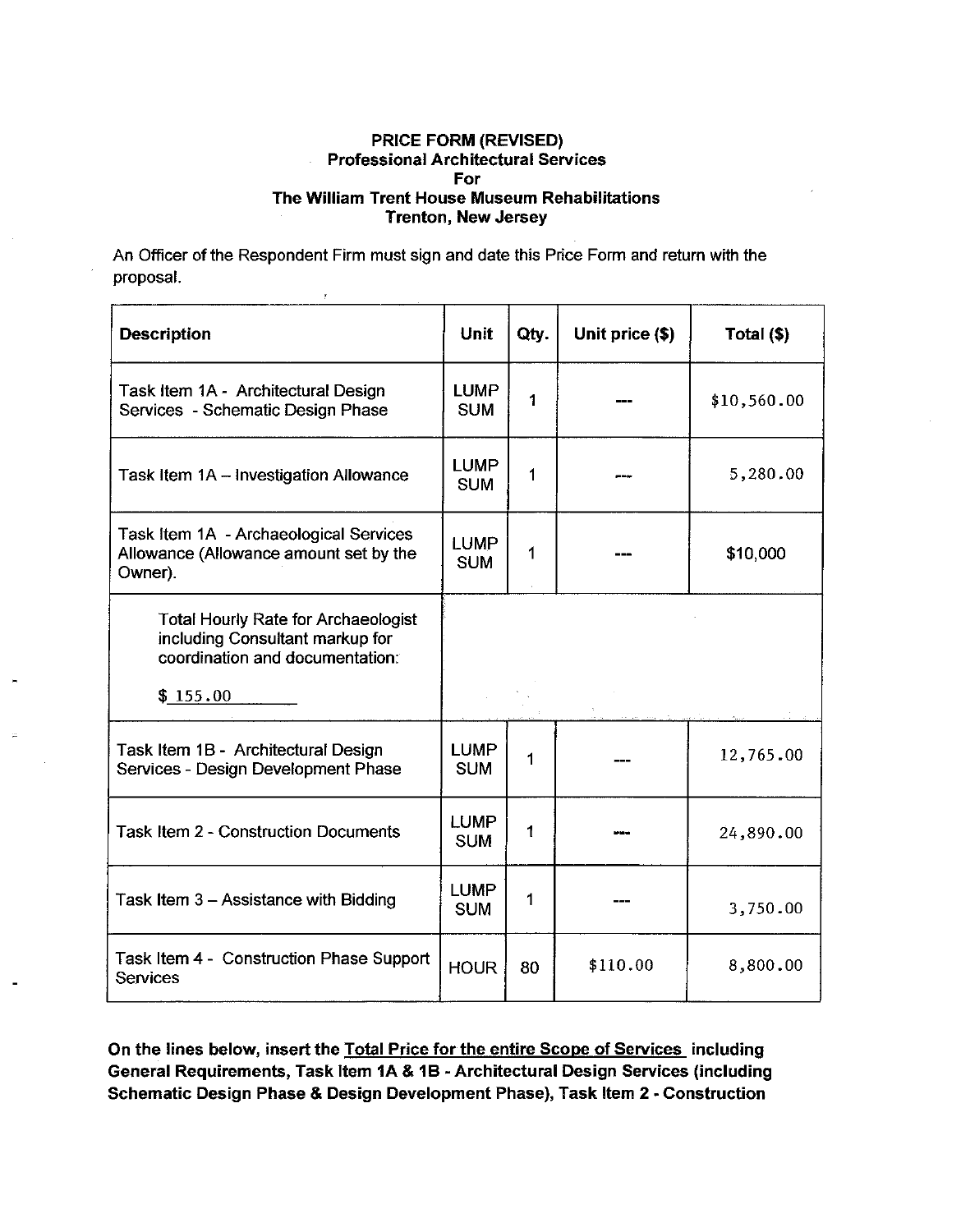An Officer of the Respondent Firm must sign and date this Price Form and return with the proposal.

y

| <b>Description</b>                                                                                               | <b>Unit</b>               | Qty. | Unit price (\$) | Total (\$)  |
|------------------------------------------------------------------------------------------------------------------|---------------------------|------|-----------------|-------------|
| Task Item 1A - Architectural Design<br>Services - Schematic Design Phase                                         | <b>LUMP</b><br><b>SUM</b> | 1    |                 | \$10,560.00 |
| Task Item 1A - Investigation Allowance                                                                           | <b>LUMP</b><br><b>SUM</b> | 1    |                 | 5,280.00    |
| Task Item 1A - Archaeological Services<br>Allowance (Allowance amount set by the<br>Owner).                      | <b>LUMP</b><br><b>SUM</b> | 1    |                 | \$10,000    |
| <b>Total Hourly Rate for Archaeologist</b><br>including Consultant markup for<br>coordination and documentation: |                           |      |                 |             |
| \$155.00                                                                                                         |                           |      |                 |             |
| Task Item 1B - Architectural Design<br>Services - Design Development Phase                                       | <b>LUMP</b><br><b>SUM</b> | 1    |                 | 12,765.00   |
| <b>Task Item 2 - Construction Documents</b>                                                                      | <b>LUMP</b><br><b>SUM</b> | 1    |                 | 24,890.00   |
| Task Item 3 - Assistance with Bidding                                                                            | <b>LUMP</b><br><b>SUM</b> | 1    |                 | 3,750.00    |
| Task Item 4 - Construction Phase Support<br><b>Services</b>                                                      | <b>HOUR</b>               | 80   | \$110.00        | 8,800.00    |

On the lines below, insert the Total Price for the entire Scope of Services including General Requirements, Task Item 1A & 1B - Architectural Design Services (including Schematic Design Phase & Design Development Phase), Task Item 2 - Construction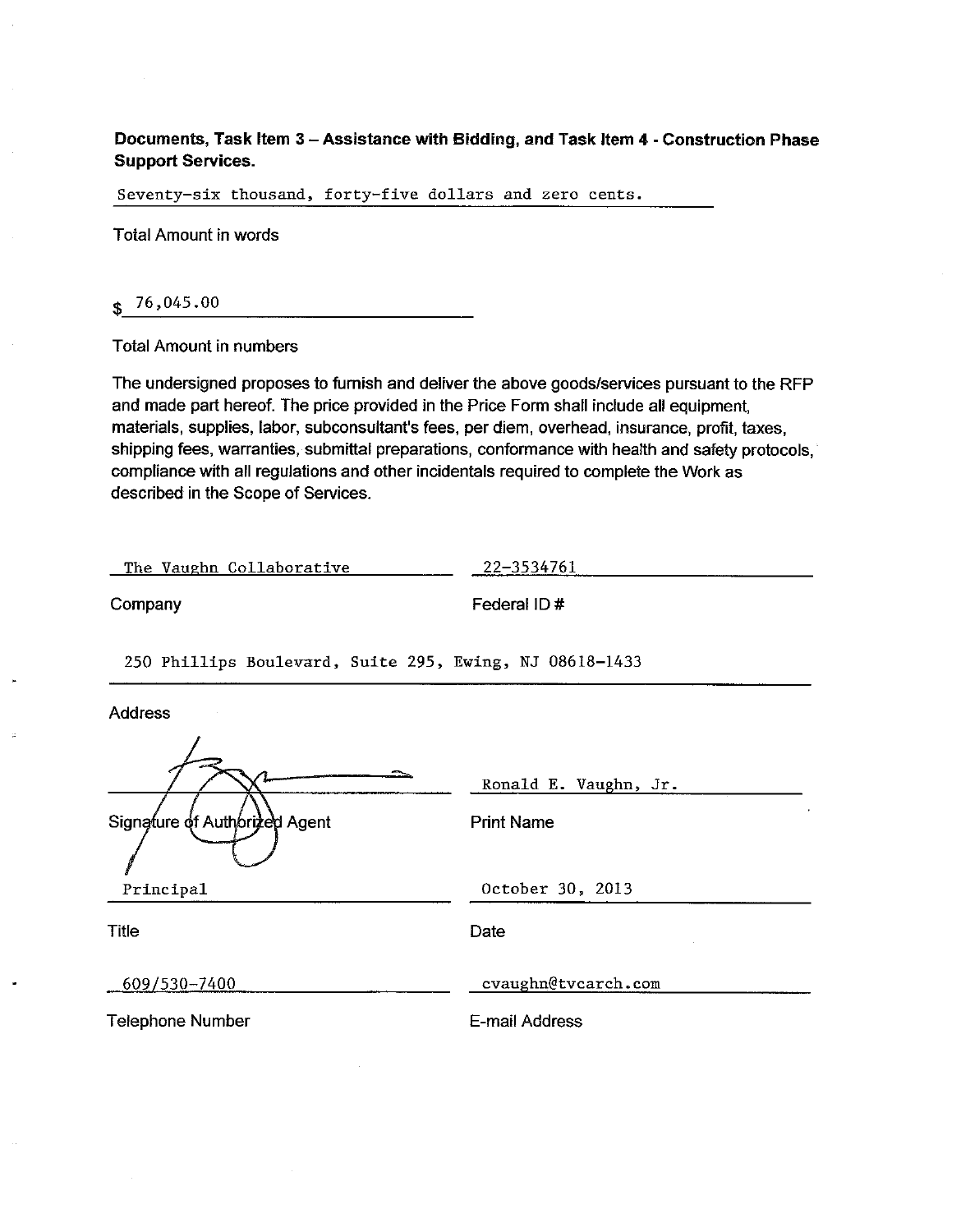## Documents, Task Item 3 – Assistance with Bidding, and Task Item 4 - Construction Phase **Support Services.**

Seventy-six thousand, forty-five dollars and zero cents.

**Total Amount in words** 

 $$76,045.00$ 

**Total Amount in numbers** 

The undersigned proposes to furnish and deliver the above goods/services pursuant to the RFP and made part hereof. The price provided in the Price Form shall include all equipment, materials, supplies, labor, subconsultant's fees, per diem, overhead, insurance, profit, taxes, shipping fees, warranties, submittal preparations, conformance with health and safety protocols, compliance with all regulations and other incidentals required to complete the Work as described in the Scope of Services.

| The Vaughn Collaborative | 22–3534761 |
|--------------------------|------------|
|--------------------------|------------|

Company

Federal ID#

250 Phillips Boulevard, Suite 295, Ewing, NJ 08618-1433

**Address** 

|                               | Ronald E. Vaughn, Jr. |
|-------------------------------|-----------------------|
| Signature of Authorized Agent | <b>Print Name</b>     |
| Principal                     | October 30, 2013      |
| Title                         | Date                  |
| 609/530-7400                  | cvaughn@tvcarch.com   |
| <b>Telephone Number</b>       | E-mail Address        |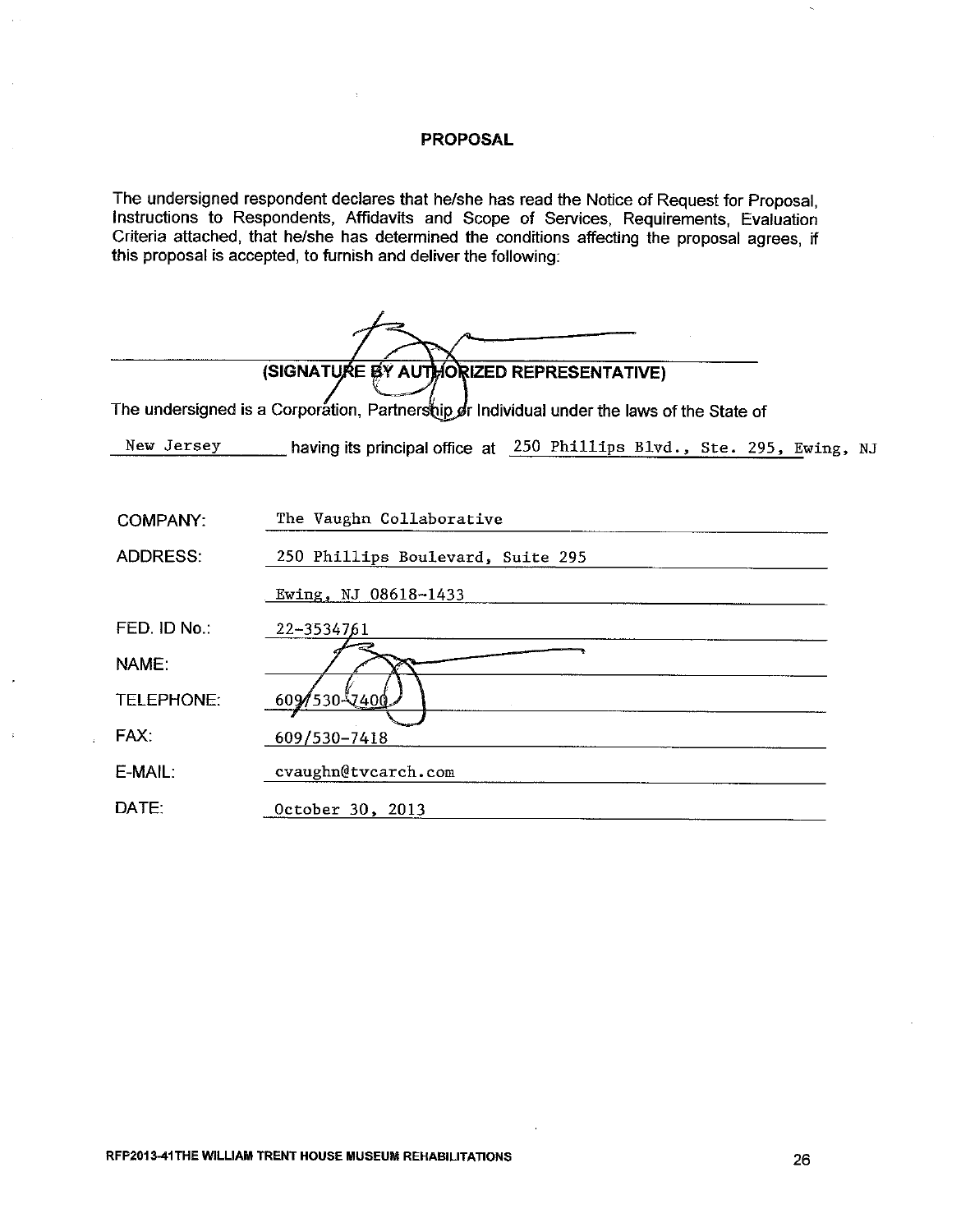## **PROPOSAL**

The undersigned respondent declares that he/she has read the Notice of Request for Proposal, Instructions to Respondents, Affidavits and Scope of Services, Requirements, Evaluation Criteria attached, that he/she has determined the conditions affecting the proposal agrees, if this proposal is accepted, to furnish and deliver the following:

|                   | (SIGNATURE BY AUTHORIZED REPRESENTATIVE)                                                   |
|-------------------|--------------------------------------------------------------------------------------------|
|                   | The undersigned is a Corporation, Partnership or Individual under the laws of the State of |
| New Jersey        | having its principal office at 250 Phillips Blvd., Ste. 295, Ewing, NJ                     |
|                   |                                                                                            |
| <b>COMPANY:</b>   | The Vaughn Collaborative                                                                   |
| <b>ADDRESS:</b>   | 250 Phillips Boulevard, Suite 295                                                          |
|                   | Ewing, NJ 08618-1433                                                                       |
| FED. ID No.:      | 22-3534761                                                                                 |
| <b>NAME:</b>      |                                                                                            |
| <b>TELEPHONE:</b> | 609/530-7400                                                                               |
| FAX:              | 609/530-7418                                                                               |
| E-MAIL:           | cvaughn@tvcarch.com                                                                        |
| DATE:             | October 30, 2013                                                                           |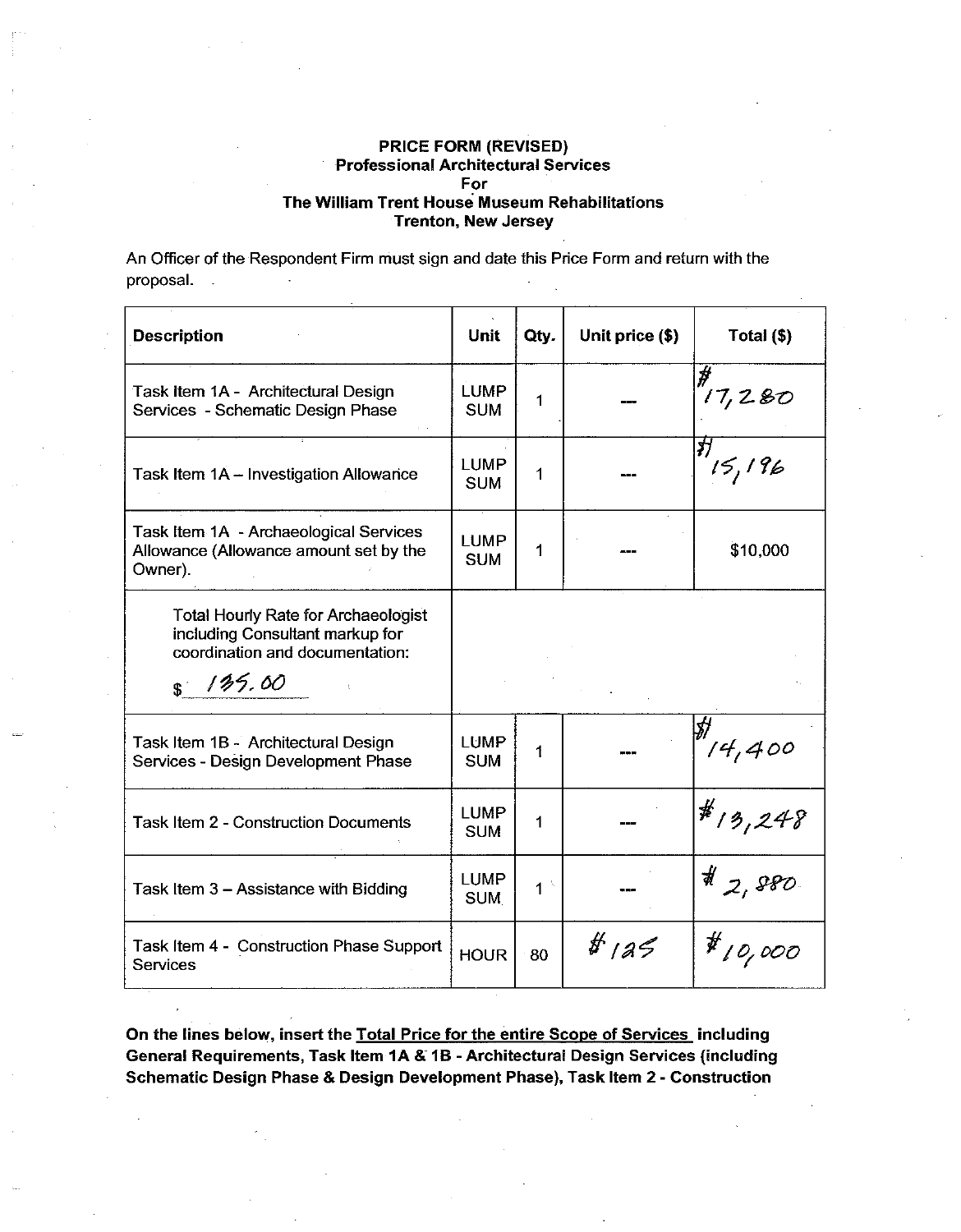An Officer of the Respondent Firm must sign and date this Price Form and return with the proposal.  $\mathbb{Z}^2$ 

| <b>Description</b>                                                                                                          | Unit                      | Qty.           | Unit price (\$) | Total (\$)           |
|-----------------------------------------------------------------------------------------------------------------------------|---------------------------|----------------|-----------------|----------------------|
| Task Item 1A - Architectural Design<br>Services - Schematic Design Phase                                                    | <b>LUMP</b><br><b>SUM</b> | 1              |                 | 17,280               |
| Task Item 1A - Investigation Allowance                                                                                      | <b>LUMP</b><br><b>SUM</b> | 1              |                 | স<br>15,196          |
| Task Item 1A - Archaeological Services<br>Allowance (Allowance amount set by the<br>Owner).                                 | <b>LUMP</b><br><b>SUM</b> | 1              |                 | \$10,000             |
| <b>Total Hourly Rate for Archaeologist</b><br>including Consultant markup for<br>coordination and documentation:<br>8135.00 |                           |                |                 |                      |
| Task Item 1B - Architectural Design<br>Services - Design Development Phase                                                  | <b>LUMP</b><br><b>SUM</b> | 1              |                 | $\frac{1}{2}$ 14,400 |
| <b>Task Item 2 - Construction Documents</b>                                                                                 | <b>LUMP</b><br><b>SUM</b> | 1              |                 | $*_{13,248}$         |
| Task Item 3 - Assistance with Bidding                                                                                       | <b>LUMP</b><br><b>SUM</b> | 1 <sup>3</sup> |                 | $*_{z, sso}$         |
| Task Item 4 - Construction Phase Support<br>Services                                                                        | <b>HOUR</b>               | 80             | # 125           | $#$ 10,000           |

On the lines below, insert the Total Price for the entire Scope of Services including General Requirements, Task Item 1A & 1B - Architectural Design Services (including Schematic Design Phase & Design Development Phase), Task Item 2 - Construction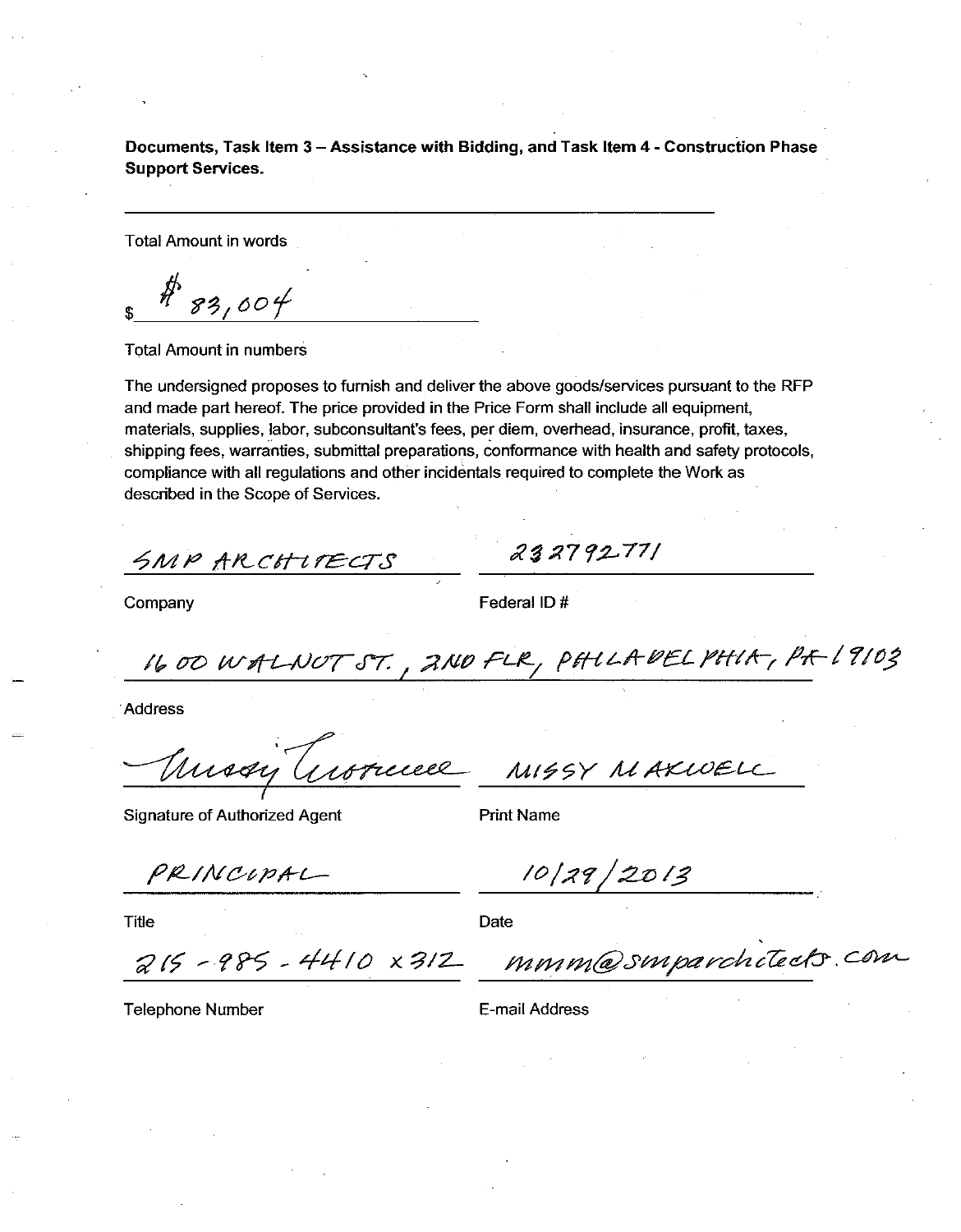Documents, Task Item 3 - Assistance with Bidding, and Task Item 4 - Construction Phase **Support Services.** 

**Total Amount in words** 

 $83,004$ 

**Total Amount in numbers** 

The undersigned proposes to furnish and deliver the above goods/services pursuant to the RFP and made part hereof. The price provided in the Price Form shall include all equipment, materials, supplies, labor, subconsultant's fees, per diem, overhead, insurance, profit, taxes, shipping fees, warranties, submittal preparations, conformance with health and safety protocols, compliance with all regulations and other incidentals required to complete the Work as described in the Scope of Services.

SMP ARCHITECTS

Company

Federal ID#

232792771

1600 WALNUT ST., 2ND FLR, PHILADEL PHIA, PA 19103

**Address** 

Trussy Gronecel M1994 MAXWELL

Signature of Authorized Agent

**Print Name** 

PRINCIPAL

**Title** 

 $10/29/2013$ 

Date

 $215 - 985 - 4410 \times 312$ 

mmm@smparchitects.com

**Telephone Number** 

E-mail Address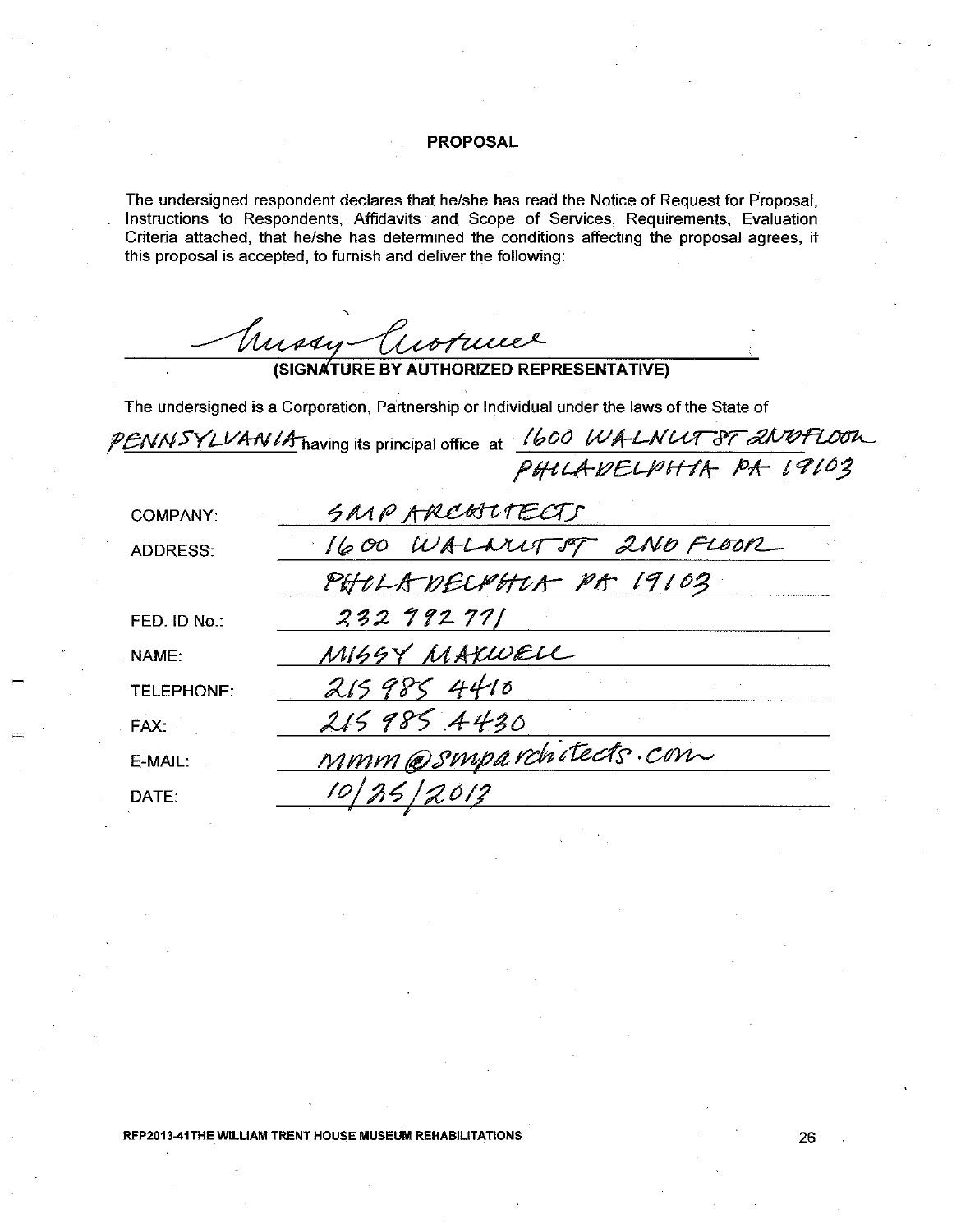### **PROPOSAL**

The undersigned respondent declares that he/she has read the Notice of Request for Proposal. Instructions to Respondents, Affidavits and Scope of Services, Requirements, Evaluation Criteria attached, that he/she has determined the conditions affecting the proposal agrees, if this proposal is accepted, to furnish and deliver the following:

Mussy Cuorucee

The undersigned is a Corporation, Partnership or Individual under the laws of the State of

PENNSYLVANIA having its principal office at 1600 WALNUT ST 2NOFLOOK

| <b>COMPANY:</b>   | SMPAREALTECTS           |
|-------------------|-------------------------|
| <b>ADDRESS:</b>   | 1600 WALDUTST 2ND FLOOR |
|                   | PHOLADECRHOR PA 19103   |
| FED. ID No.:      | 232992771               |
| NAME:             | MISSY MAKWELL           |
| <b>TELEPHONE:</b> | 2159854410              |
| FAX:              | 215985 4430             |
| E-MAIL:           | MMM@Smparchitects.com   |
| DATE:             | 10/25/2012              |

RFP2013-41THE WILLIAM TRENT HOUSE MUSEUM REHABILITATIONS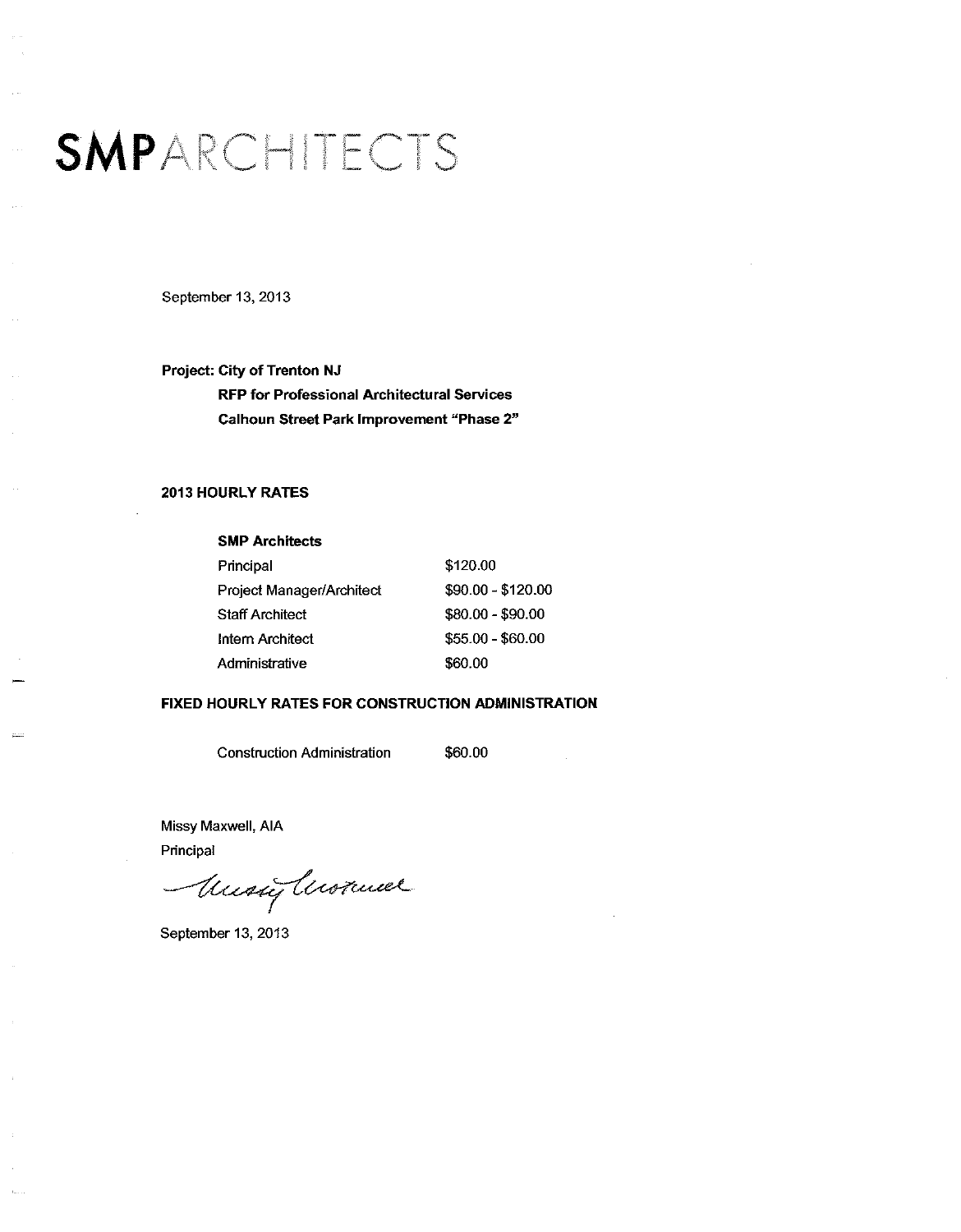## SMPARCHITECTS

September 13, 2013

Project: City of Trenton NJ **RFP for Professional Architectural Services** Calhoun Street Park Improvement "Phase 2"

#### **2013 HOURLY RATES**

#### **SMP Architects**

| Principal                 | \$120.00           |
|---------------------------|--------------------|
| Project Manager/Architect | $$90.00 - $120.00$ |
| Staff Architect           | \$80.00 - \$90.00  |
| Intern Architect          | \$55.00 - \$60.00  |
| Administrative            | \$60.00            |

#### FIXED HOURLY RATES FOR CONSTRUCTION ADMINISTRATION

**Construction Administration** 

\$60.00

Missy Maxwell, AIA Principal

Music Anommer

September 13, 2013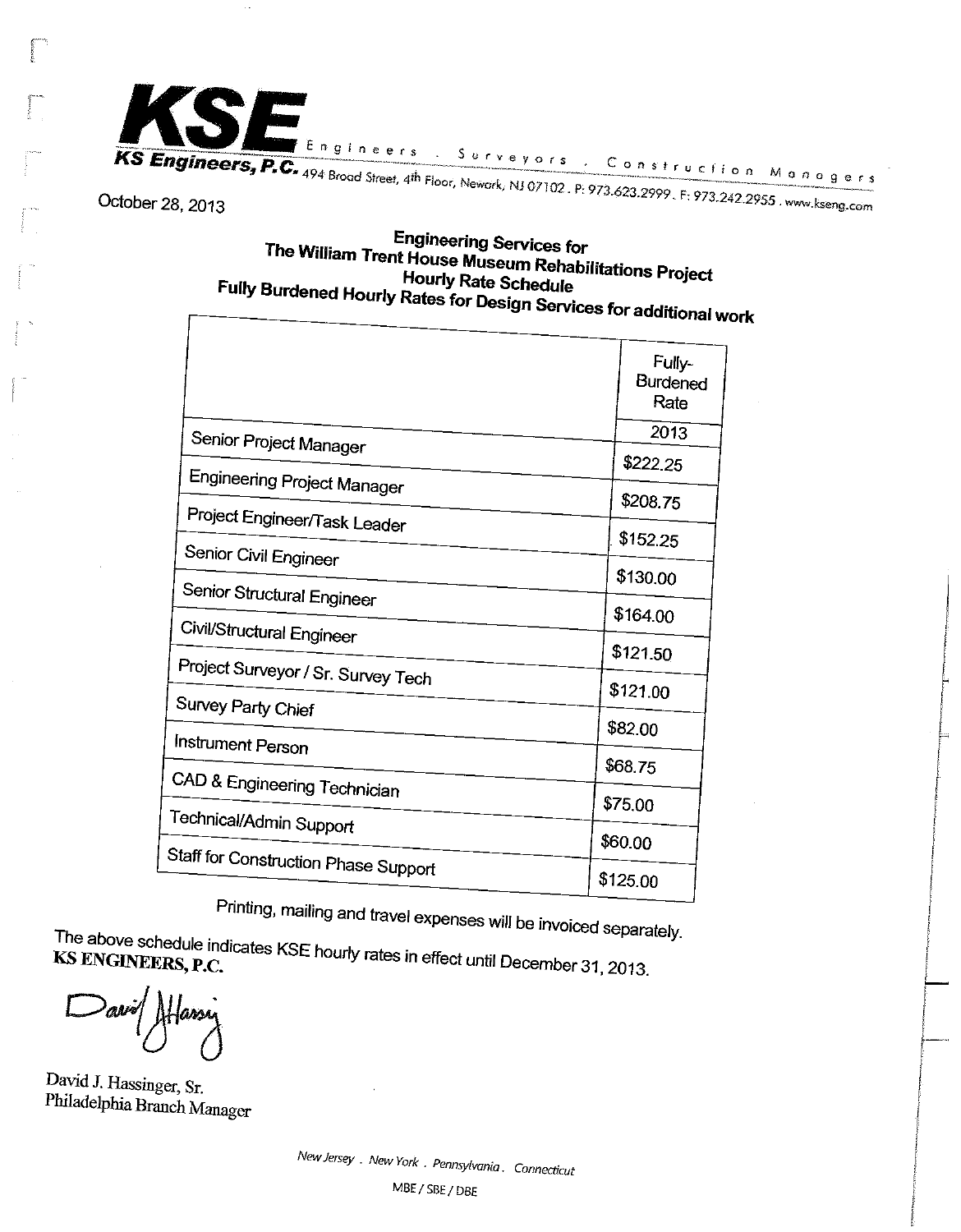

October 28, 2013

## **Engineering Services for** The William Trent House Museum Rehabilitations Project **Hourly Rate Schedule** Fully Burdened Hourly Rates for Design Services for additional work

|                                      | Fully-<br><b>Burdened</b><br>Rate |
|--------------------------------------|-----------------------------------|
| Senior Project Manager               | 2013                              |
|                                      | \$222.25                          |
| Engineering Project Manager          | \$208.75                          |
| Project Engineer/Task Leader         |                                   |
| Senior Civil Engineer                | \$152.25                          |
|                                      | \$130.00                          |
| Senior Structural Engineer           | \$164.00                          |
| Civil/Structural Engineer            | \$121.50                          |
| Project Surveyor / Sr. Survey Tech   |                                   |
| Survey Party Chief                   | \$121.00                          |
|                                      | \$82.00                           |
| Instrument Person                    | \$68.75                           |
| CAD & Engineering Technician         |                                   |
| Technical/Admin Support              | \$75.00                           |
|                                      | \$60.00                           |
| Staff for Construction Phase Support | \$125.00                          |
|                                      |                                   |

Printing, mailing and travel expenses will be invoiced separately.

The above schedule indicates KSE hourly rates in effect until December 31, 2013. KS ENGINEERS, P.C.

David J. Hassinger, Sr. Philadelphia Branch Manager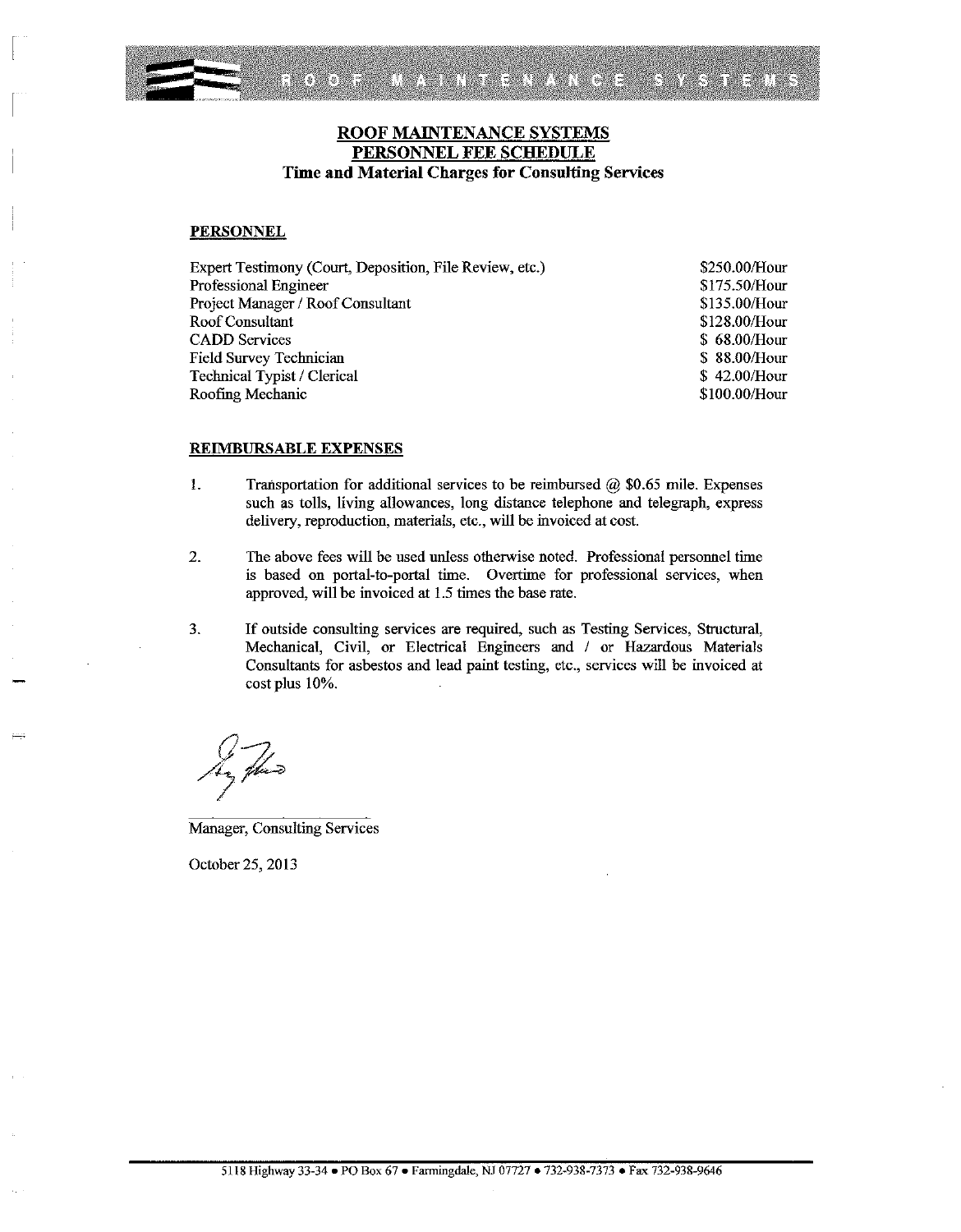MAINTENANCE SYSTEMS esanya<br>San **OBOZO** 

## ROOF MAINTENANCE SYSTEMS PERSONNEL FEE SCHEDULE Time and Material Charges for Consulting Services

#### **PERSONNEL**

| Expert Testimony (Court, Deposition, File Review, etc.) |  |
|---------------------------------------------------------|--|
| Professional Engineer                                   |  |
| Project Manager / Roof Consultant                       |  |
| Roof Consultant                                         |  |
| <b>CADD</b> Services                                    |  |
| Field Survey Technician                                 |  |
| Technical Typist / Clerical                             |  |
| Roofing Mechanic                                        |  |

\$250.00/Hour \$175.50/Hour \$135.00/Hour \$128.00/Hour \$68.00/Hour \$88.00/Hour \$42.00/Hour \$100.00/Hour

#### **REIMBURSABLE EXPENSES**

- 1. Transportation for additional services to be reimbursed  $\omega$  \$0.65 mile. Expenses such as tolls, living allowances, long distance telephone and telegraph, express delivery, reproduction, materials, etc., will be invoiced at cost.
- 2. The above fees will be used unless otherwise noted. Professional personnel time is based on portal-to-portal time. Overtime for professional services, when approved, will be invoiced at 1.5 times the base rate.
- $3.$ If outside consulting services are required, such as Testing Services, Structural, Mechanical, Civil, or Electrical Engineers and / or Hazardous Materials Consultants for asbestos and lead paint testing, etc., services will be invoiced at cost plus 10%.

**Manager, Consulting Services** 

October 25, 2013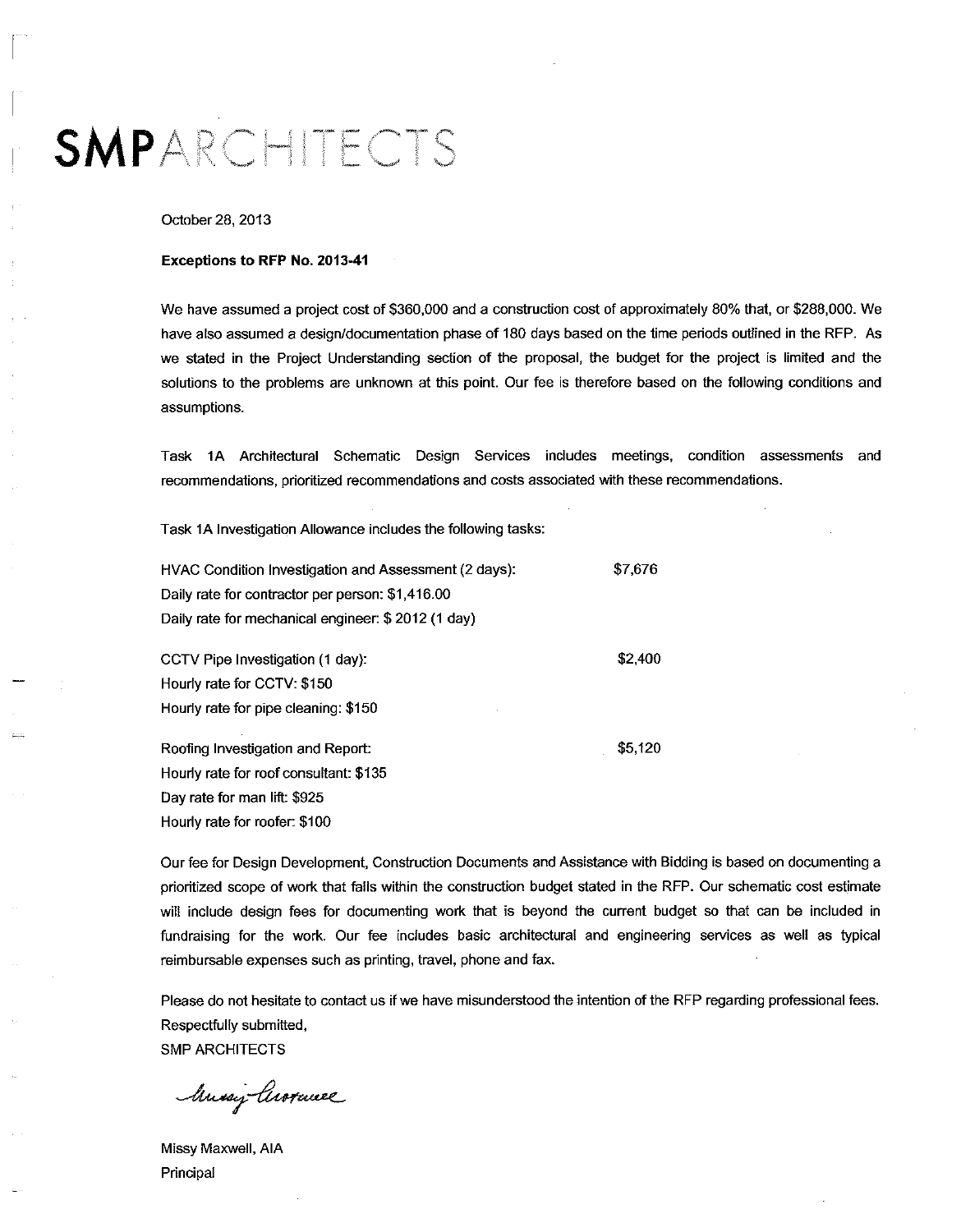## SMPARCHITECTS

#### October 28, 2013

#### Exceptions to RFP No. 2013-41

We have assumed a project cost of \$360,000 and a construction cost of approximately 80% that, or \$288,000. We have also assumed a design/documentation phase of 180 days based on the time periods outlined in the RFP. As we stated in the Project Understanding section of the proposal, the budget for the project is limited and the solutions to the problems are unknown at this point. Our fee is therefore based on the following conditions and assumptions.

Task 1A Architectural Schematic Design Services includes meetings, condition assessments and recommendations, prioritized recommendations and costs associated with these recommendations.

Task 1A Investigation Allowance includes the following tasks:

| HVAC Condition Investigation and Assessment (2 days). | \$7,676 |
|-------------------------------------------------------|---------|
| Daily rate for contractor per person: \$1,416.00      |         |
| Daily rate for mechanical engineer: \$2012 (1 day)    |         |
| CCTV Pipe Investigation (1 day):                      | \$2,400 |
| Hourly rate for CCTV: \$150                           |         |
| Hourly rate for pipe cleaning: \$150                  |         |

Roofing Investigation and Report: Hourly rate for roof consultant: \$135 Day rate for man lift: \$925 Hourly rate for roofer: \$100

Our fee for Design Development, Construction Documents and Assistance with Bidding is based on documenting a prioritized scope of work that falls within the construction budget stated in the RFP. Our schematic cost estimate will include design fees for documenting work that is beyond the current budget so that can be included in fundraising for the work. Our fee includes basic architectural and engineering services as well as typical reimbursable expenses such as printing, travel, phone and fax.

\$5,120

Please do not hesitate to contact us if we have misunderstood the intention of the RFP regarding professional fees. Respectfully submitted, **SMP ARCHITECTS** 

Mussix Arorance

Missy Maxwell, AIA Principal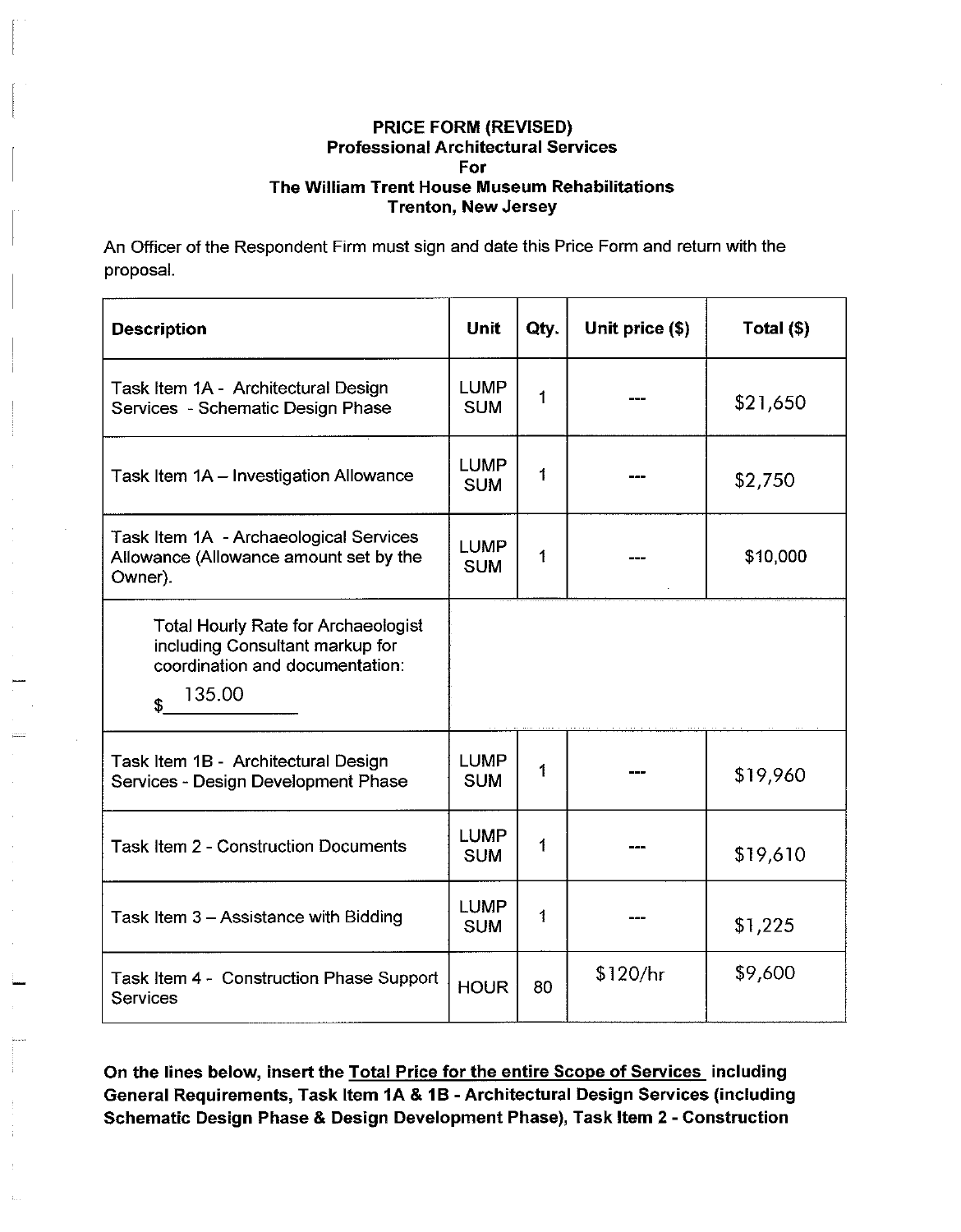An Officer of the Respondent Firm must sign and date this Price Form and return with the proposal.

| <b>Description</b>                                                                                                               | Unit                      | Qty. | Unit price (\$) | Total $(\$)$ |
|----------------------------------------------------------------------------------------------------------------------------------|---------------------------|------|-----------------|--------------|
| Task Item 1A - Architectural Design<br>Services - Schematic Design Phase                                                         | <b>LUMP</b><br><b>SUM</b> | 1    |                 | \$21,650     |
| Task Item 1A - Investigation Allowance                                                                                           | <b>LUMP</b><br><b>SUM</b> | 1    |                 | \$2,750      |
| Task Item 1A - Archaeological Services<br>Allowance (Allowance amount set by the<br>Owner).                                      | <b>LUMP</b><br><b>SUM</b> | 1    |                 | \$10,000     |
| <b>Total Hourly Rate for Archaeologist</b><br>including Consultant markup for<br>coordination and documentation:<br>135.00<br>\$ |                           |      |                 |              |
| Task Item 1B - Architectural Design<br>Services - Design Development Phase                                                       | <b>LUMP</b><br><b>SUM</b> | 1    |                 | \$19,960     |
| <b>Task Item 2 - Construction Documents</b>                                                                                      | <b>LUMP</b><br><b>SUM</b> | 1    |                 | \$19,610     |
| Task Item 3 - Assistance with Bidding                                                                                            | <b>LUMP</b><br><b>SUM</b> | 1    |                 | \$1,225      |
| Task Item 4 - Construction Phase Support<br><b>Services</b>                                                                      | <b>HOUR</b>               | 80   | \$120/hr        | \$9,600      |

On the lines below, insert the Total Price for the entire Scope of Services including General Requirements, Task Item 1A & 1B - Architectural Design Services (including Schematic Design Phase & Design Development Phase), Task Item 2 - Construction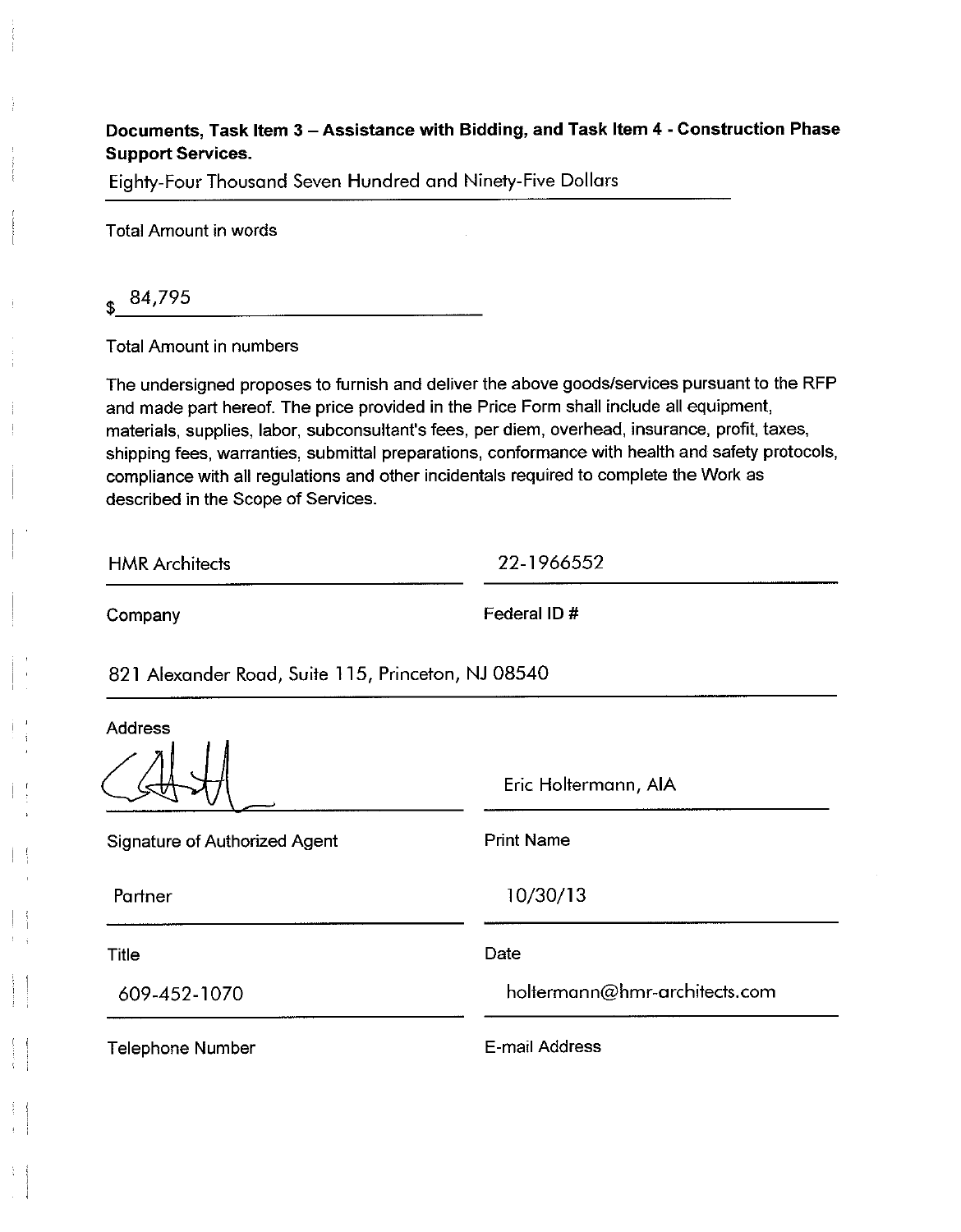## Documents, Task Item 3 - Assistance with Bidding, and Task Item 4 - Construction Phase **Support Services.**

Eighty-Four Thousand Seven Hundred and Ninety-Five Dollars

**Total Amount in words** 

84,795

**Total Amount in numbers** 

The undersigned proposes to furnish and deliver the above goods/services pursuant to the RFP and made part hereof. The price provided in the Price Form shall include all equipment, materials, supplies, labor, subconsultant's fees, per diem, overhead, insurance, profit, taxes, shipping fees, warranties, submittal preparations, conformance with health and safety protocols, compliance with all regulations and other incidentals required to complete the Work as described in the Scope of Services.

**HMR** Architects

22-1966552

Company

Federal ID#

821 Alexander Road, Suite 115, Princeton, NJ 08540

**Address** 

Eric Holtermann, AIA

| <b>Signature of Authorized Agent</b> | <b>Print Name</b>             |
|--------------------------------------|-------------------------------|
| Partner                              | 10/30/13                      |
| Title                                | Date                          |
| 609-452-1070                         | holtermann@hmr-architects.com |
| <b>Telephone Number</b>              | E-mail Address                |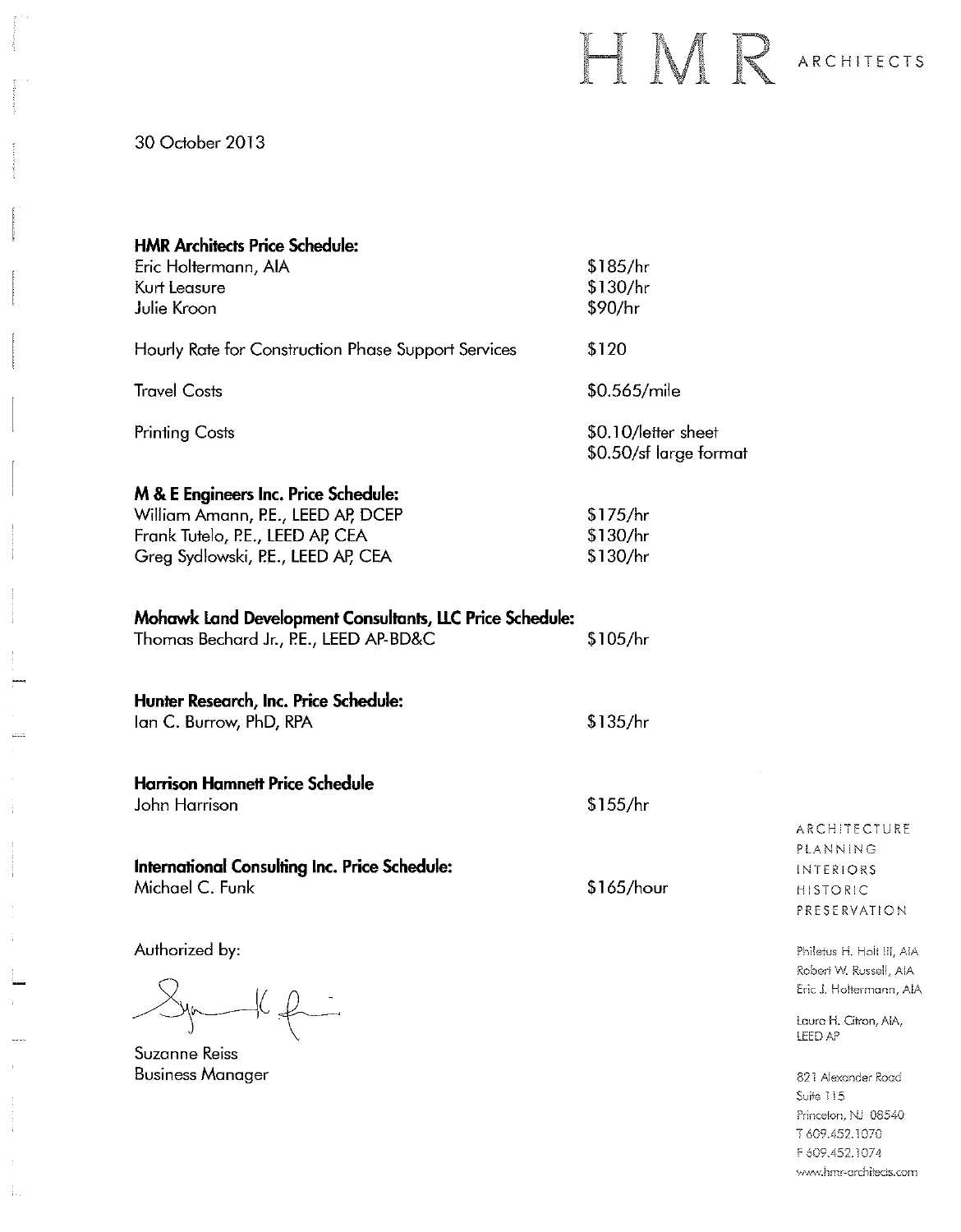## HMR ARCHITECTS

Princeton, NJ 08540 T 609.452.1070 F 609.452.1074 www.hmr-architects.com

30 October 2013

 $\ddot{ }$ 

 $\frac{1}{4}$ 

 $\frac{1}{4}$  .

| <b>HMR Architects Price Schedule:</b><br>Eric Holtermann, AIA<br>Kurt Leasure<br>Julie Kroon                                                         | \$185/hr<br>\$130/hr<br>\$90/hr               |                                                                                                                    |
|------------------------------------------------------------------------------------------------------------------------------------------------------|-----------------------------------------------|--------------------------------------------------------------------------------------------------------------------|
| Hourly Rate for Construction Phase Support Services                                                                                                  | \$120                                         |                                                                                                                    |
| <b>Travel Costs</b>                                                                                                                                  | \$0.565/mile                                  |                                                                                                                    |
| <b>Printing Costs</b>                                                                                                                                | \$0.10/letter sheet<br>\$0.50/sf large format |                                                                                                                    |
| M & E Engineers Inc. Price Schedule:<br>William Amann, P.E., LEED AP, DCEP<br>Frank Tutelo, P.E., LEED AP, CEA<br>Greg Sydlowski, P.E., LEED AP, CEA | \$175/hr<br>\$130/hr<br>\$130/hr              |                                                                                                                    |
| <b>Mohawk Land Development Consultants, LLC Price Schedule:</b><br>Thomas Bechard Jr., P.E., LEED AP-BD&C                                            | \$105/hr                                      |                                                                                                                    |
| Hunter Research, Inc. Price Schedule:<br>Ian C. Burrow, PhD, RPA                                                                                     | \$135/hr                                      |                                                                                                                    |
| <b>Harrison Hamnett Price Schedule</b><br>John Harrison                                                                                              | \$155/hr                                      | ARCHITECTURE                                                                                                       |
| International Consulting Inc. Price Schedule:<br>Michael C. Funk                                                                                     | \$165/hour                                    | PLANNING<br>INTERIORS<br><b>HISTORIC</b><br>PRESERVATION                                                           |
| Authorized by:<br>Suzanne Reiss                                                                                                                      |                                               | Philetus H. Holt III, AIA<br>Robert W. Russell, AIA<br>Eric J. Holtermann, AIA<br>Laura H. Citron, AIA,<br>LEED AP |
| <b>Business Manager</b>                                                                                                                              |                                               | 821 Alexander Road<br>Suite 115                                                                                    |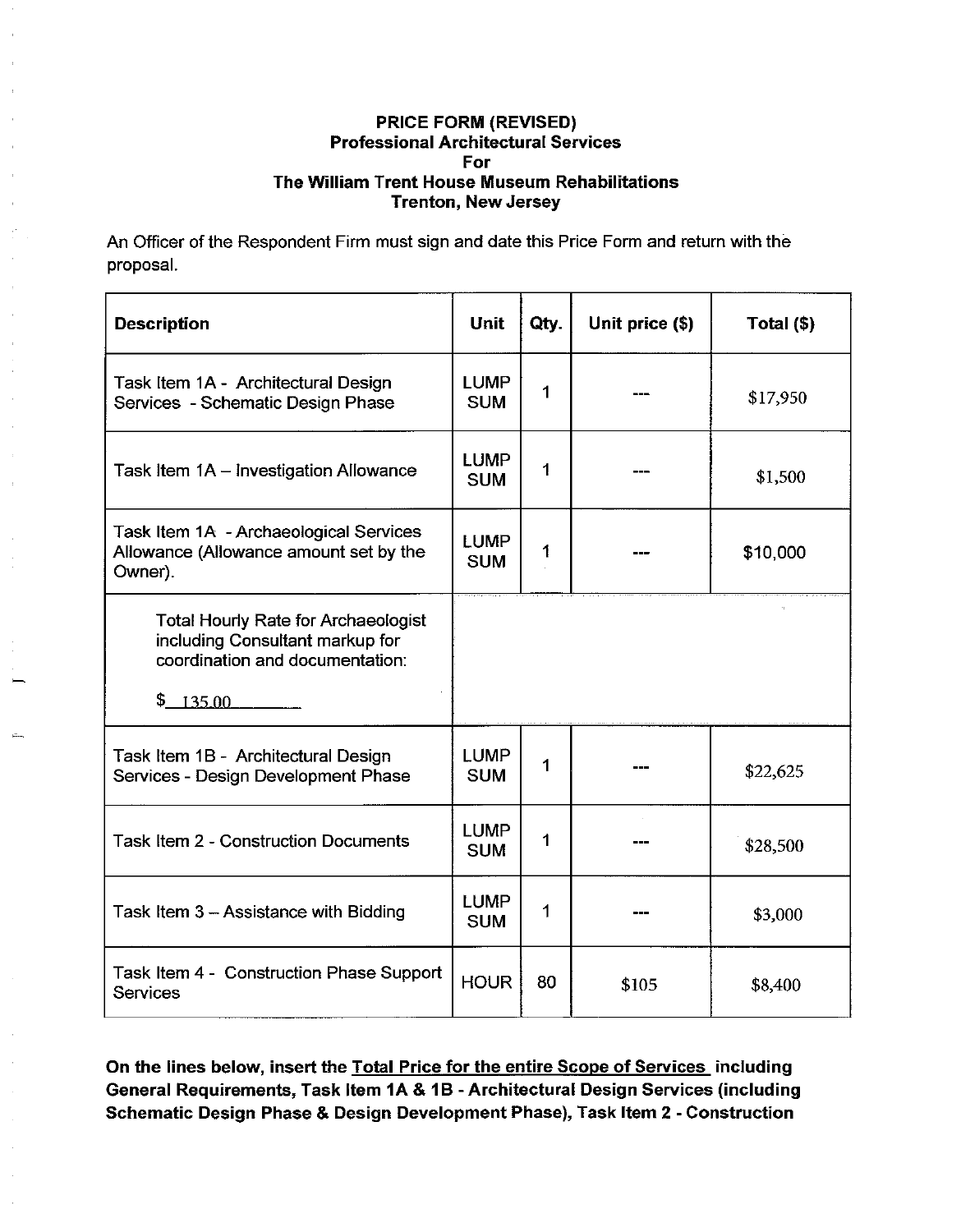An Officer of the Respondent Firm must sign and date this Price Form and return with the proposal.

| <b>Description</b>                                                                                                            | Unit                      | Qty. | Unit price (\$) | Total (\$) |
|-------------------------------------------------------------------------------------------------------------------------------|---------------------------|------|-----------------|------------|
| Task Item 1A - Architectural Design<br>Services - Schematic Design Phase                                                      | <b>LUMP</b><br><b>SUM</b> | 1    |                 | \$17,950   |
| Task Item $1A -$ Investigation Allowance                                                                                      | <b>LUMP</b><br><b>SUM</b> | 1    |                 | \$1,500    |
| Task Item 1A - Archaeological Services<br>Allowance (Allowance amount set by the<br>Owner).                                   | <b>LUMP</b><br><b>SUM</b> | 1    |                 | \$10,000   |
| <b>Total Hourly Rate for Archaeologist</b><br>including Consultant markup for<br>coordination and documentation:<br>\$ 135.00 |                           |      |                 |            |
| Task Item 1B - Architectural Design<br>Services - Design Development Phase                                                    | <b>LUMP</b><br><b>SUM</b> | 1    |                 | \$22,625   |
| <b>Task Item 2 - Construction Documents</b>                                                                                   | <b>LUMP</b><br><b>SUM</b> | 1    |                 | \$28,500   |
| Task Item 3 - Assistance with Bidding                                                                                         | <b>LUMP</b><br><b>SUM</b> | 1    |                 | \$3,000    |
| Task Item 4 - Construction Phase Support<br><b>Services</b>                                                                   | <b>HOUR</b>               | 80   | \$105           | \$8,400    |

On the lines below, insert the Total Price for the entire Scope of Services including General Requirements, Task Item 1A & 1B - Architectural Design Services (including Schematic Design Phase & Design Development Phase), Task Item 2 - Construction

 $\bar{z}$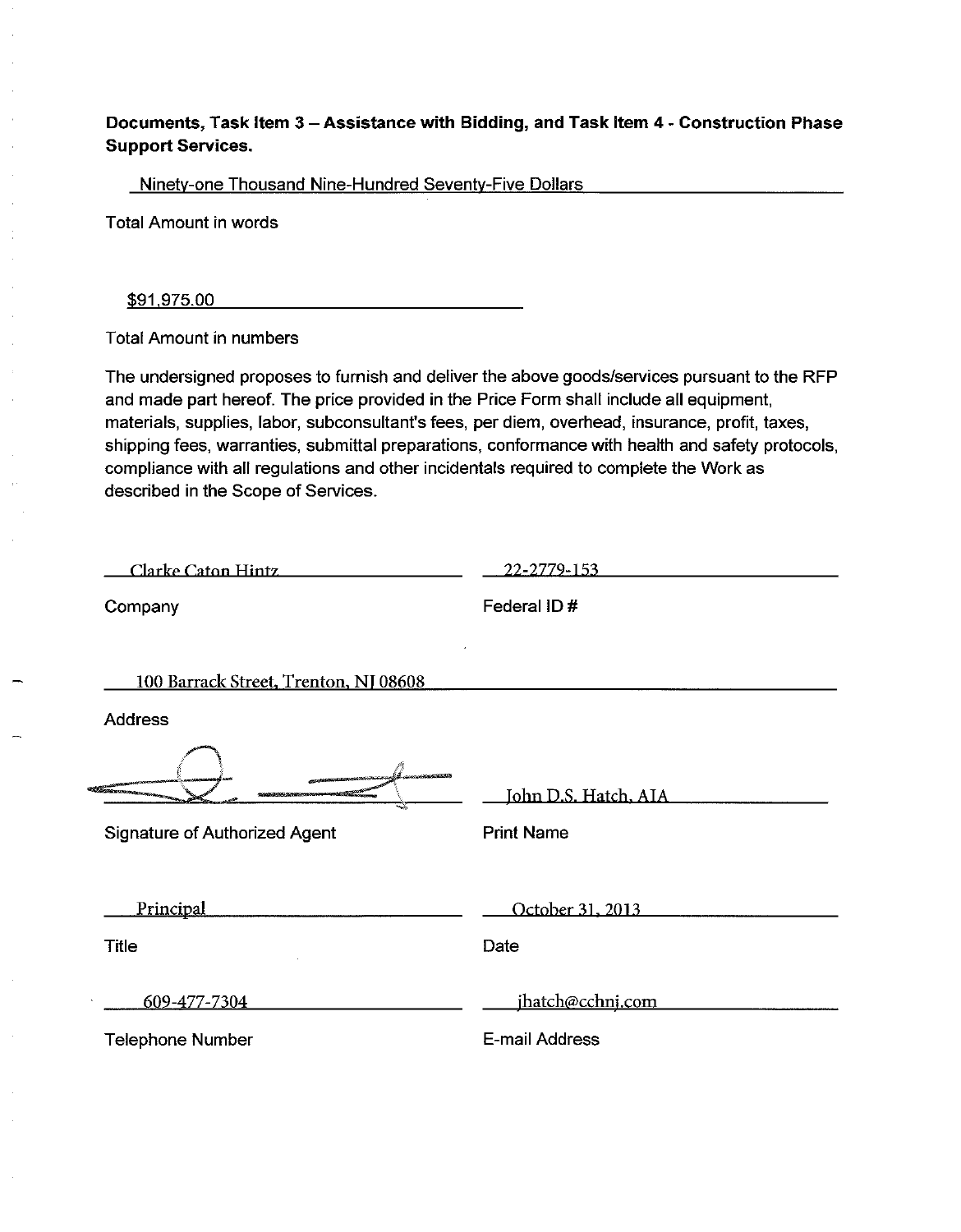## Documents, Task Item 3 - Assistance with Bidding, and Task Item 4 - Construction Phase **Support Services.**

Ninety-one Thousand Nine-Hundred Seventy-Five Dollars

**Total Amount in words** 

\$91,975.00

**Total Amount in numbers** 

The undersigned proposes to furnish and deliver the above goods/services pursuant to the RFP and made part hereof. The price provided in the Price Form shall include all equipment. materials, supplies, labor, subconsultant's fees, per diem, overhead, insurance, profit, taxes, shipping fees, warranties, submittal preparations, conformance with health and safety protocols, compliance with all regulations and other incidentals required to complete the Work as described in the Scope of Services.

Clarke Caton Hintz

22-2779-153

Company

Federal ID#

100 Barrack Street, Trenton, NJ 08608

**Address** 

Signature of Authorized Agent

**Print Name** 

Principal

**Title** 

Date

609-477-7304

ihatch@cchni.com

John D.S. Hatch, AIA

October 31, 2013

**Telephone Number** 

E-mail Address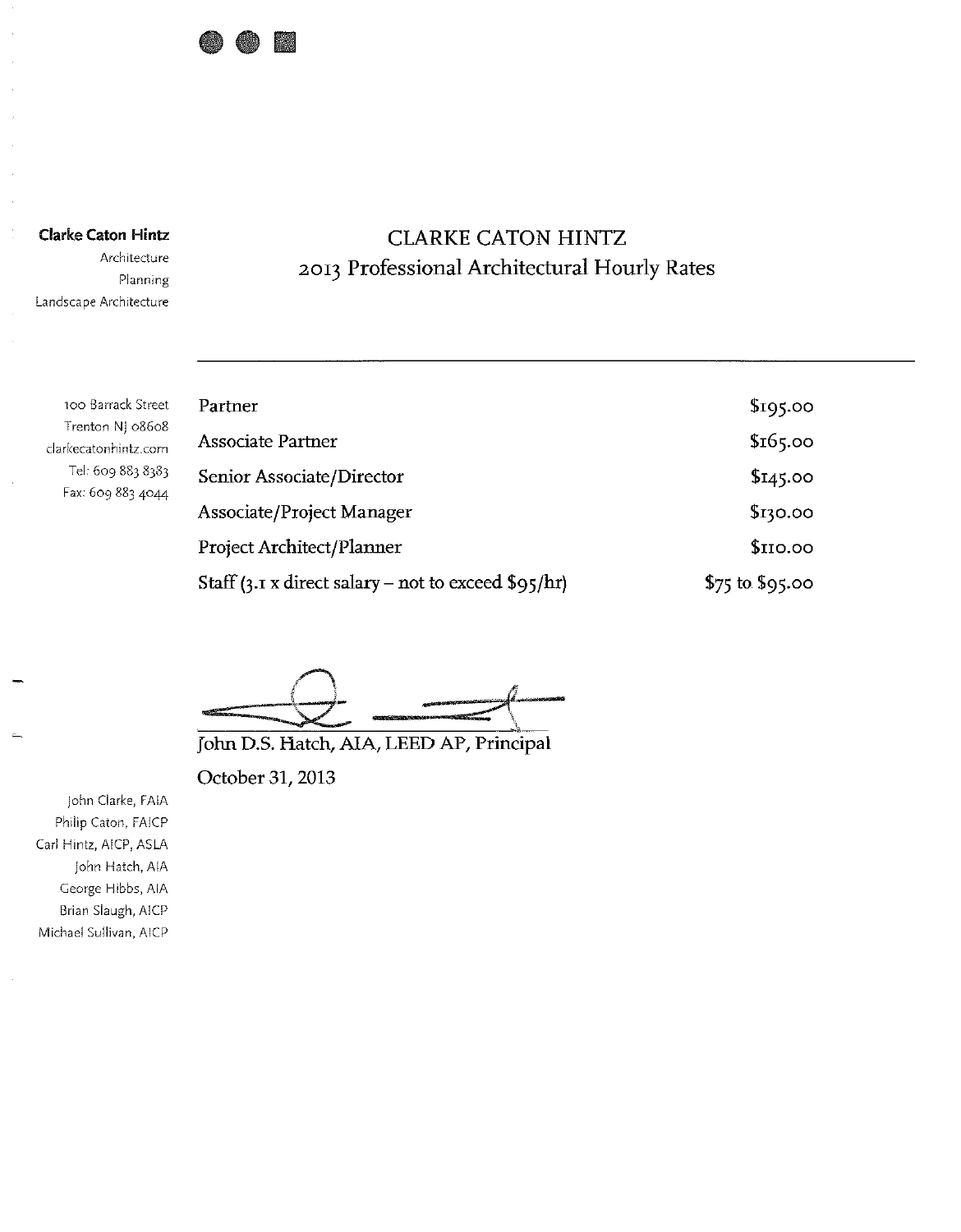

**Clarke Caton Hintz** 

Architecture Planning Landscape Architecture

## **CLARKE CATON HINTZ** 2013 Professional Architectural Hourly Rates

100 Barrack Street Trenton NJ 08608 clarkecatonhintz.com Tel: 609 883 8383 Fax: 609 883 4044

| Partner                                                | \$195.00          |
|--------------------------------------------------------|-------------------|
| <b>Associate Partner</b>                               | \$165.00          |
| Senior Associate/Director                              | \$145.00          |
| Associate/Project Manager                              | \$130.00          |
| <b>Project Architect/Planner</b>                       | \$IIO.00          |
| Staff (3.1 x direct salary – not to exceed $\S$ 95/hr) | $$75$ to $$95.00$ |

John D.S. Hatch, AIA, LEED AP, Principal

October 31, 2013

John Clarke, FAIA Philip Caton, FAICP Carl Hintz, AICP, ASLA John Hatch, AIA George Hibbs, AIA Brian Slaugh, AICP Michael Sullivan, AICP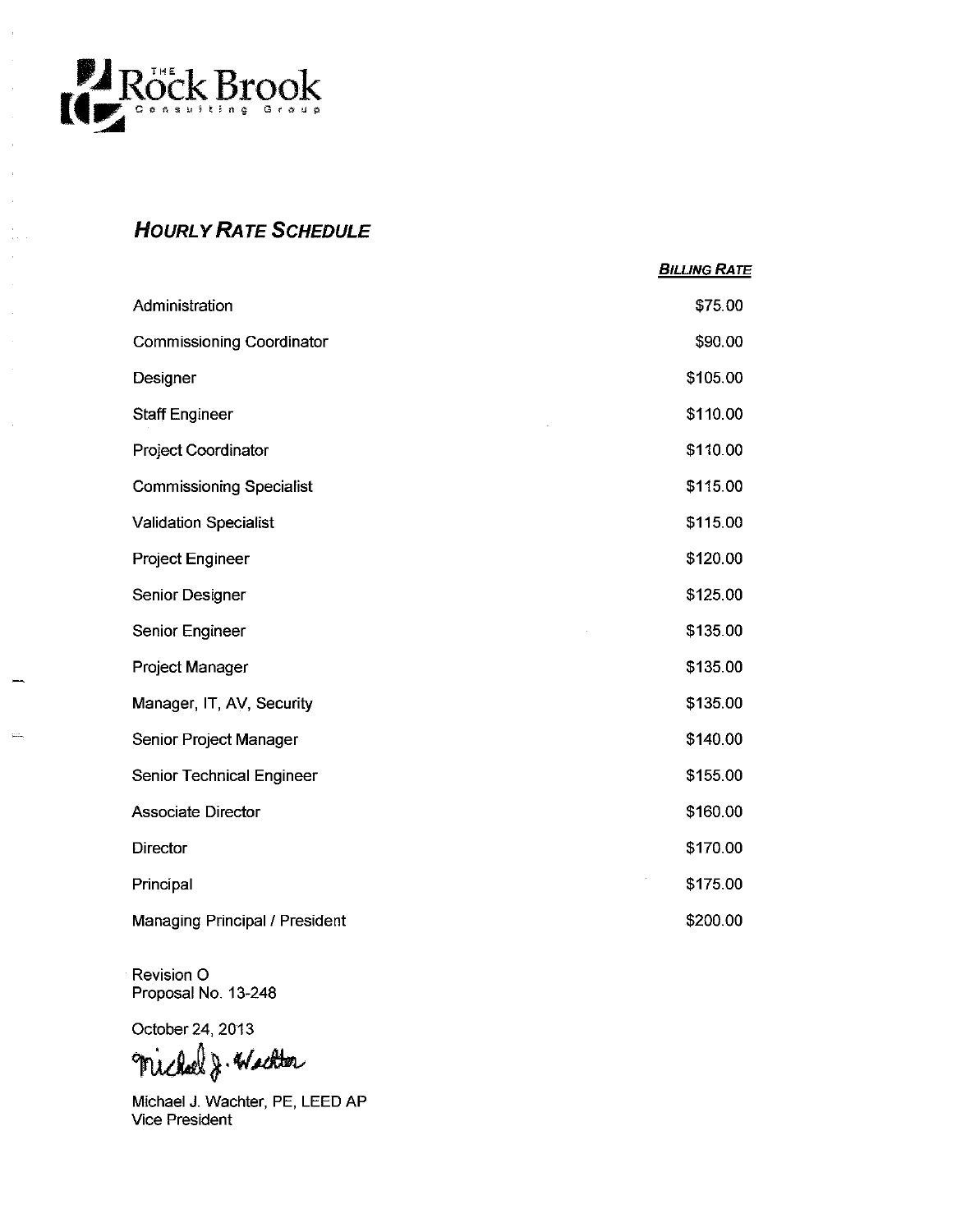

 $\overline{1}$ 

 $\bar{z}$ 

## **HOURLY RATE SCHEDULE**

|                                  | <b>BILLING RATE</b> |
|----------------------------------|---------------------|
| Administration                   | \$75.00             |
| <b>Commissioning Coordinator</b> | \$90.00             |
| Designer                         | \$105.00            |
| <b>Staff Engineer</b>            | \$110.00            |
| Project Coordinator              | \$110.00            |
| <b>Commissioning Specialist</b>  | \$115.00            |
| <b>Validation Specialist</b>     | \$115.00            |
| <b>Project Engineer</b>          | \$120.00            |
| Senior Designer                  | \$125.00            |
| Senior Engineer                  | \$135.00            |
| Project Manager                  | \$135.00            |
| Manager, IT, AV, Security        | \$135.00            |
| Senior Project Manager           | \$140.00            |
| Senior Technical Engineer        | \$155.00            |
| <b>Associate Director</b>        | \$160.00            |
| <b>Director</b>                  | \$170.00            |
| Principal                        | \$175.00            |
| Managing Principal / President   | \$200.00            |

Revision O Proposal No. 13-248

October 24, 2013

Michael J. Wachter

Michael J. Wachter, PE, LEED AP<br>Vice President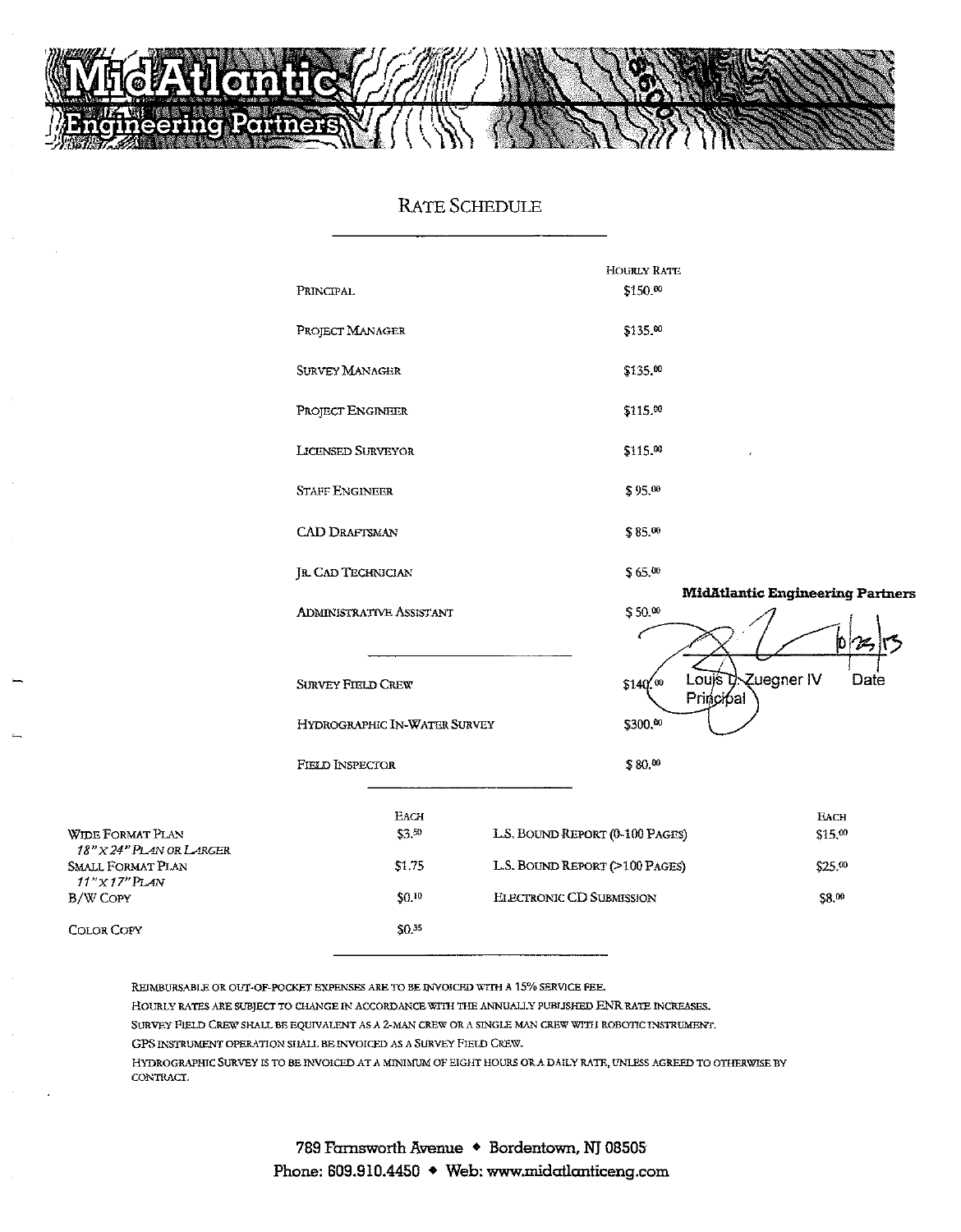

## **RATE SCHEDULE**



REIMBURSABLE OR OUT-OF-POCKET EXPENSES ARE TO BE INVOICED WITH A 15% SERVICE FEE.

HOURLY RATES ARE SUBJECT TO CHANGE IN ACCORDANCE WITH THE ANNUALLY PUBLISHED ENR RATE INCREASES.

SURVEY FIELD CREW SHALL BE EQUIVALENT AS A 2-MAN CREW OR A SINGLE MAN CREW WITH ROBOTIC INSTRUMENT.

GPS INSTRUMENT OPERATION SHALL BE INVOICED AS A SURVEY FIELD CREW.

HYDROGRAPHIC SURVEY IS TO BE INVOICED AT A MINIMUM OF EIGHT HOURS OR A DAILY RATE, UNLESS AGREED TO OTHERWISE BY CONTRACT.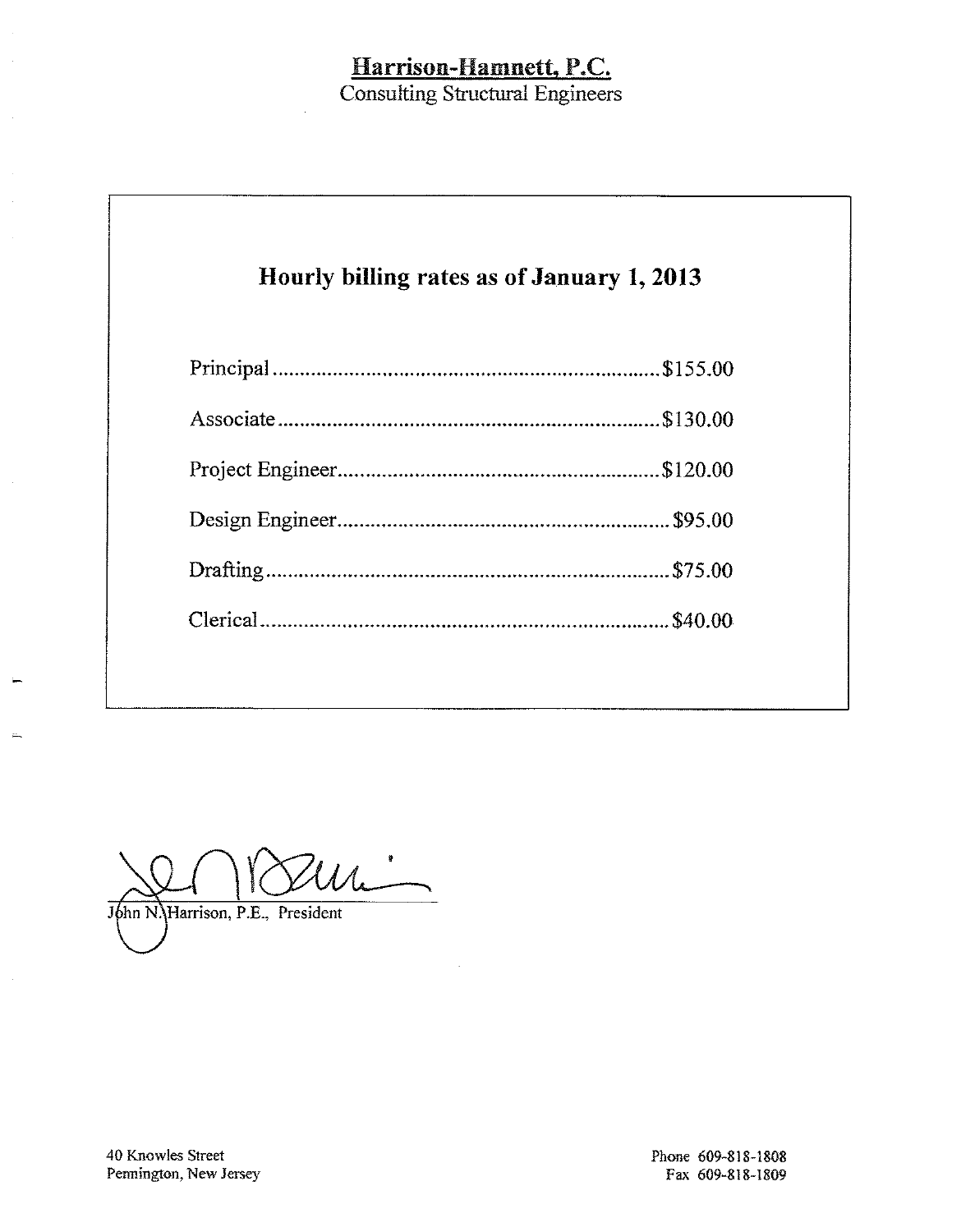## Harrison-Hamnett, P.C.

**Consulting Structural Engineers** 

# Hourly billing rates as of January 1, 2013

 $\mathcal{U}_{\mathcal{L}}$ John N. Harrison, P.E., President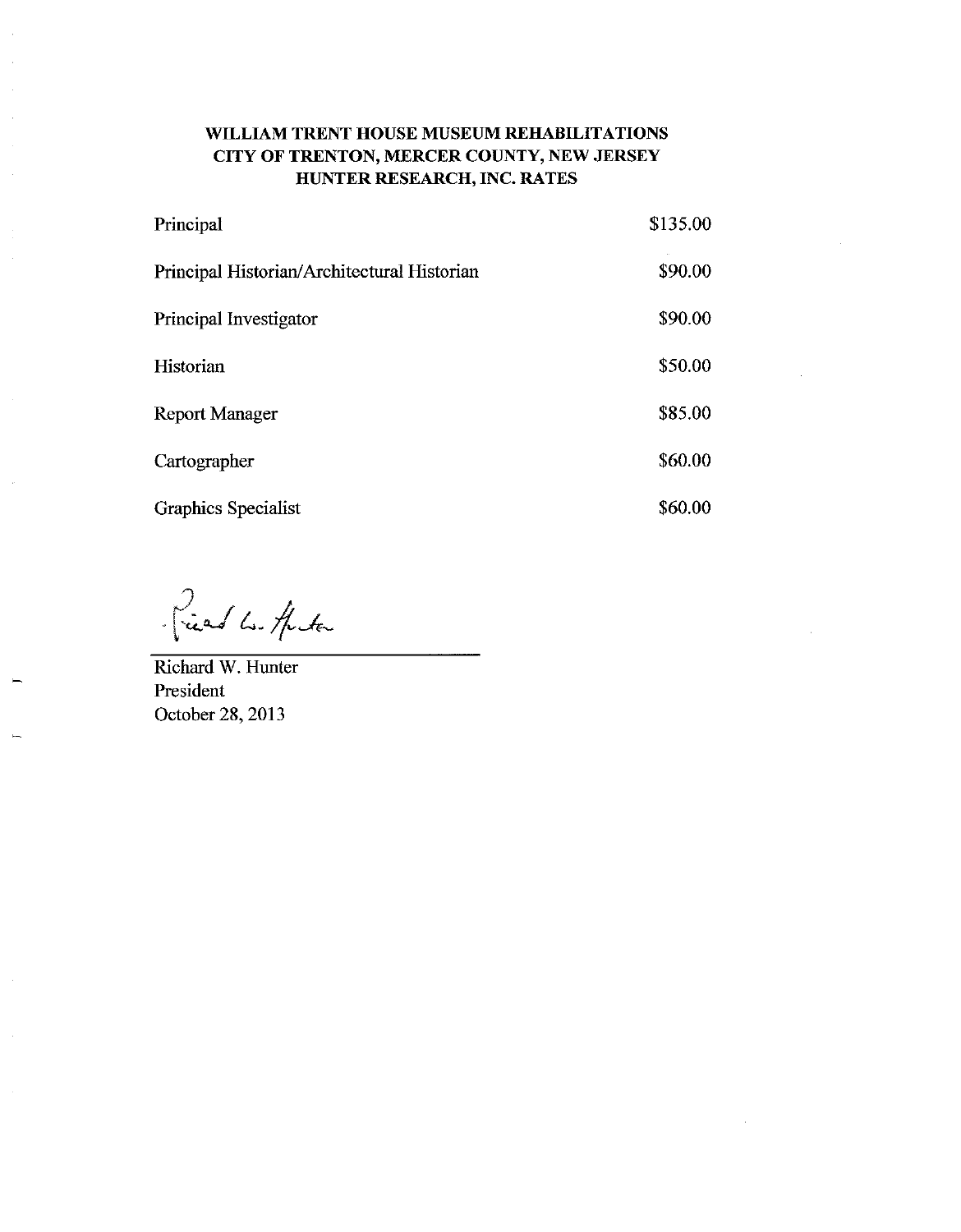## WILLIAM TRENT HOUSE MUSEUM REHABILITATIONS CITY OF TRENTON, MERCER COUNTY, NEW JERSEY HUNTER RESEARCH, INC. RATES

| Principal                                   | \$135.00 |
|---------------------------------------------|----------|
| Principal Historian/Architectural Historian | \$90.00  |
| Principal Investigator                      | \$90.00  |
| Historian                                   | \$50.00  |
| <b>Report Manager</b>                       | \$85.00  |
| Cartographer                                | \$60.00  |
| <b>Graphics Specialist</b>                  | \$60.00  |

Priest Le Hita

Richard W. Hunter President October 28, 2013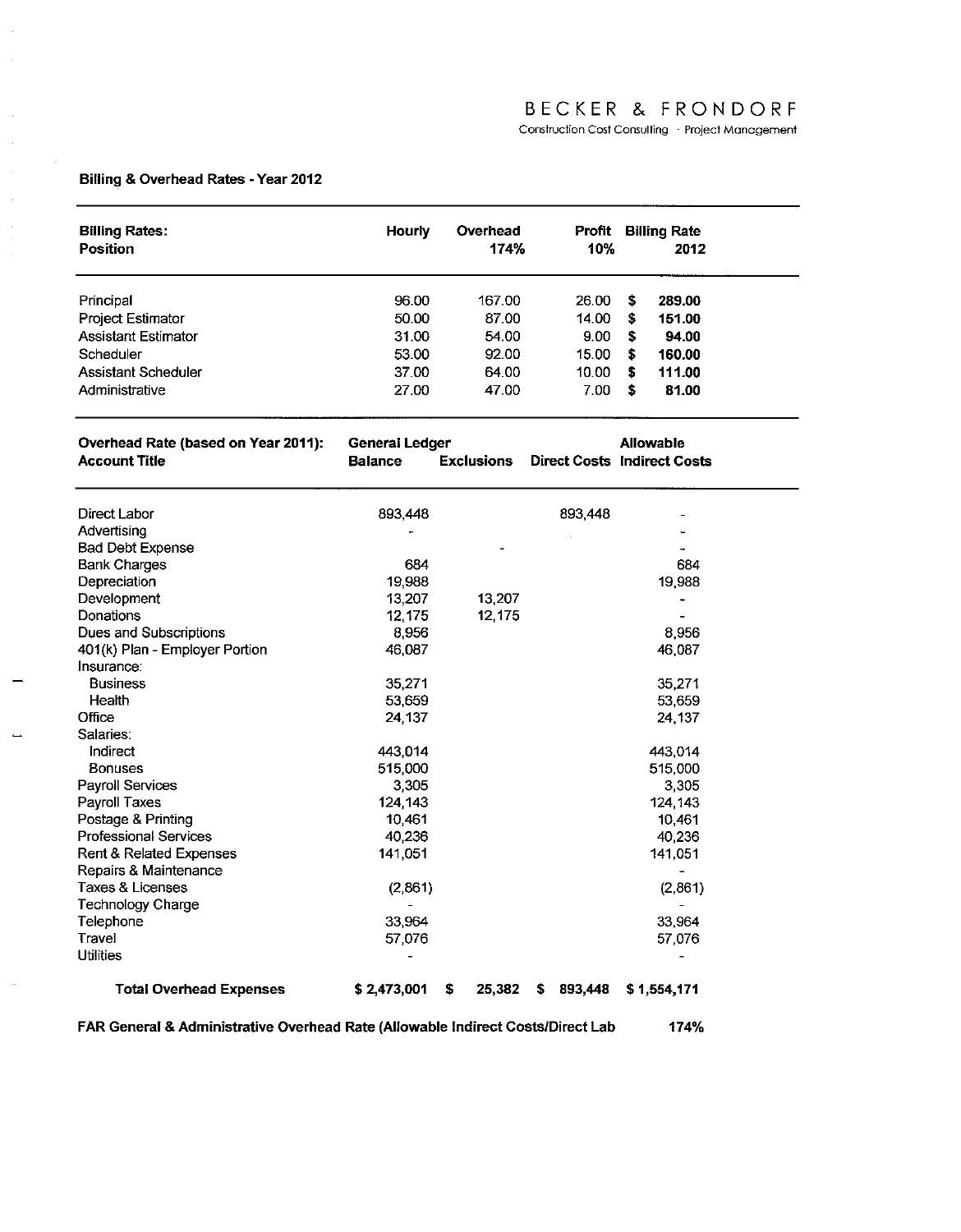## BECKER & FRONDORF

Construction Cost Consulting · Project Management

## Billing & Overhead Rates - Year 2012

 $\mathbb{R}^2$  $\bar{\beta}$ 

 $\bar{\beta}$ 

 $\hat{\boldsymbol{\beta}}$ 

 $\bar{\alpha}$ 

 $\bar{\nu}$ 

| <b>Billing Rates:</b><br><b>Position</b> | <b>Hourly</b>         | Overhead<br>174%  | 10%           | <b>Profit Billing Rate</b><br>2012 |  |
|------------------------------------------|-----------------------|-------------------|---------------|------------------------------------|--|
| Principal                                | 96.00                 | 167.00            | 26.00         | \$<br>289.00                       |  |
| <b>Project Estimator</b>                 | 50.00                 | 87.00             | 14.00         | \$<br>151.00                       |  |
| <b>Assistant Estimator</b>               | 31.00                 | 54.00             | 9.00          | \$<br>94.00                        |  |
| Scheduler                                | 53.00                 | 92.00             | 15.00         | \$<br>160.00                       |  |
| Assistant Scheduler                      | 37.00                 | 64.00             | 10.00         | s<br>111.00                        |  |
| Administrative                           | 27.00                 | 47.00             |               | S                                  |  |
|                                          |                       |                   | 7.00          | 81.00                              |  |
| Overhead Rate (based on Year 2011):      | <b>General Ledger</b> |                   |               | <b>Allowable</b>                   |  |
| Account Title                            | <b>Balance</b>        | <b>Exclusions</b> |               | <b>Direct Costs Indirect Costs</b> |  |
| Direct Labor                             | 893,448               |                   | 893,448       |                                    |  |
| Advertising                              |                       |                   |               | ۳                                  |  |
| Bad Debt Expense                         |                       |                   |               |                                    |  |
| <b>Bank Charges</b>                      | 684                   |                   |               | 684                                |  |
| Depreciation                             | 19,988                |                   |               | 19.988                             |  |
| Development                              | 13,207                | 13,207            |               |                                    |  |
| Donations                                | 12.175                | 12,175            |               |                                    |  |
| Dues and Subscriptions                   | 8,956                 |                   |               | 8,956                              |  |
| 401(k) Plan - Employer Portion           | 46.087                |                   |               | 46,087                             |  |
| Insurance:                               |                       |                   |               |                                    |  |
| <b>Business</b>                          | 35.271                |                   |               | 35.271                             |  |
| Health                                   | 53.659                |                   |               | 53.659                             |  |
| Office                                   | 24 137                |                   |               | 24 137                             |  |
| Salaries:                                |                       |                   |               |                                    |  |
| Indirect                                 | 443.014               |                   |               | 443.014                            |  |
| <b>Bonuses</b>                           | 515,000               |                   |               | 515,000                            |  |
| <b>Payroll Services</b>                  | 3,305                 |                   |               | 3,305                              |  |
| Payroll Taxes                            | 124, 143              |                   |               | 124 143                            |  |
| Postage & Printing                       | 10,461                |                   |               | 10461                              |  |
| <b>Professional Services</b>             | 40.236                |                   |               | 40,236                             |  |
| Rent & Related Expenses                  | 141,051               |                   |               | 141,051                            |  |
| Repairs & Maintenance                    |                       |                   |               | $\overline{a}$                     |  |
| Taxes & Licenses                         | (2,861)               |                   |               | (2,861)                            |  |
| Technology Charge                        |                       |                   |               |                                    |  |
| Telephone                                | 33.964                |                   |               | 33,964                             |  |
| Travel                                   | 57,076                |                   |               | 57,076                             |  |
| <b>Utilities</b>                         |                       |                   |               |                                    |  |
| <b>Total Overhead Expenses</b>           | \$2,473,001           | \$<br>25,382      | 893,448<br>\$ | \$1,554,171                        |  |

FAR General & Administrative Overhead Rate (Allowable Indirect Costs/Direct Lab 174%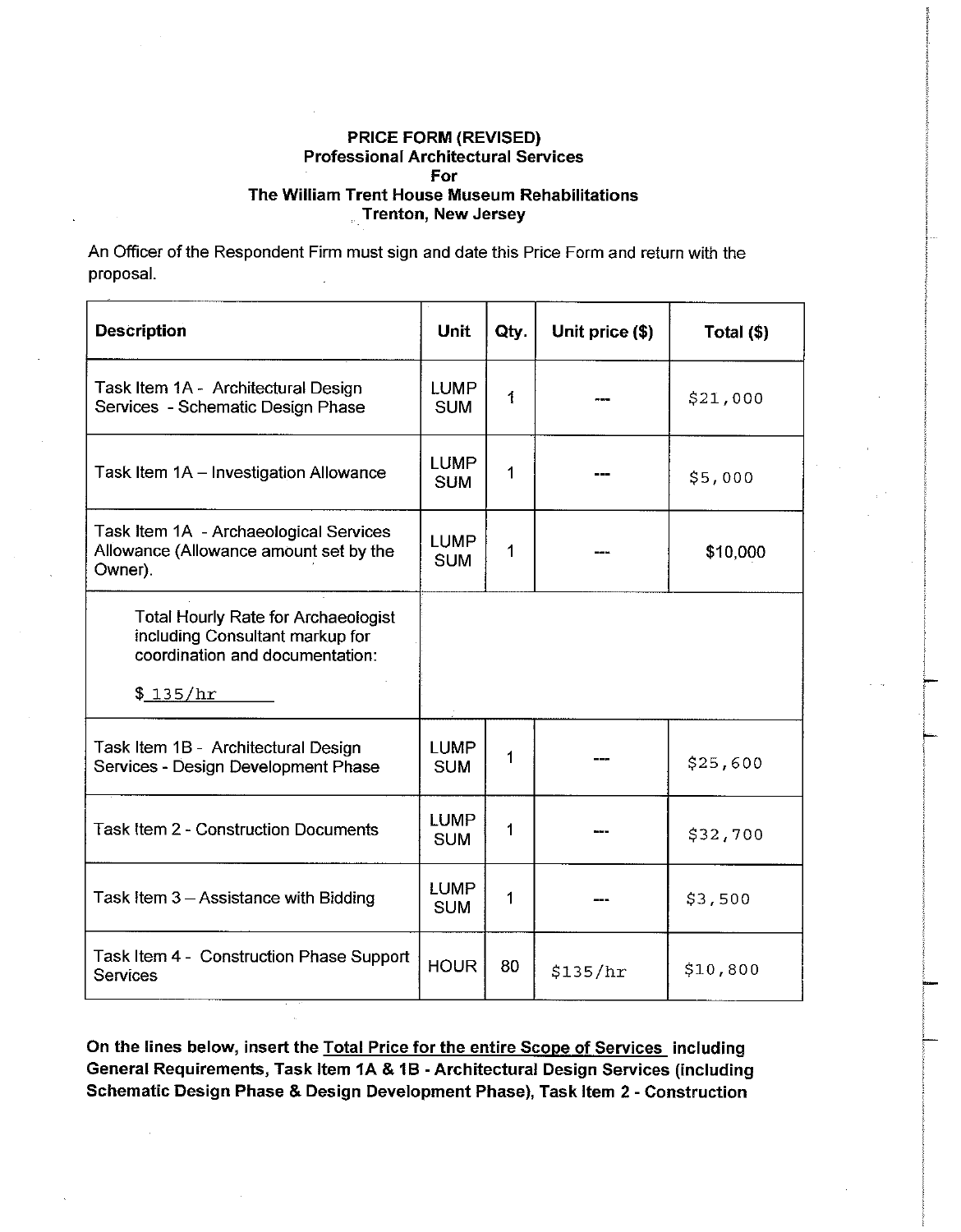An Officer of the Respondent Firm must sign and date this Price Form and return with the proposal.

| <b>Description</b>                                                                                                           | <b>Unit</b>               | Qty. | Unit price (\$) | Total (\$) |
|------------------------------------------------------------------------------------------------------------------------------|---------------------------|------|-----------------|------------|
| Task Item 1A - Architectural Design<br>Services - Schematic Design Phase                                                     | <b>LUMP</b><br><b>SUM</b> | 1    |                 | \$21,000   |
| Task Item 1A - Investigation Allowance                                                                                       | <b>LUMP</b><br><b>SUM</b> | 1    |                 | \$5,000    |
| Task Item 1A - Archaeological Services<br>Allowance (Allowance amount set by the<br>Owner).                                  | <b>LUMP</b><br><b>SUM</b> | 1    |                 | \$10,000   |
| <b>Total Hourly Rate for Archaeologist</b><br>including Consultant markup for<br>coordination and documentation:<br>\$135/hr |                           |      |                 |            |
| Task Item 1B - Architectural Design<br>Services - Design Development Phase                                                   | <b>LUMP</b><br><b>SUM</b> | 1    |                 | \$25,600   |
| <b>Task Item 2 - Construction Documents</b>                                                                                  | <b>LUMP</b><br><b>SUM</b> | 1    |                 | \$32,700   |
| Task Item 3 - Assistance with Bidding                                                                                        | <b>LUMP</b><br><b>SUM</b> | 1    |                 | \$3,500    |
| Task Item 4 - Construction Phase Support<br><b>Services</b>                                                                  | <b>HOUR</b>               | 80   | \$135/hr        | \$10,800   |

On the lines below, insert the Total Price for the entire Scope of Services including General Requirements, Task Item 1A & 1B - Architectural Design Services (including Schematic Design Phase & Design Development Phase), Task Item 2 - Construction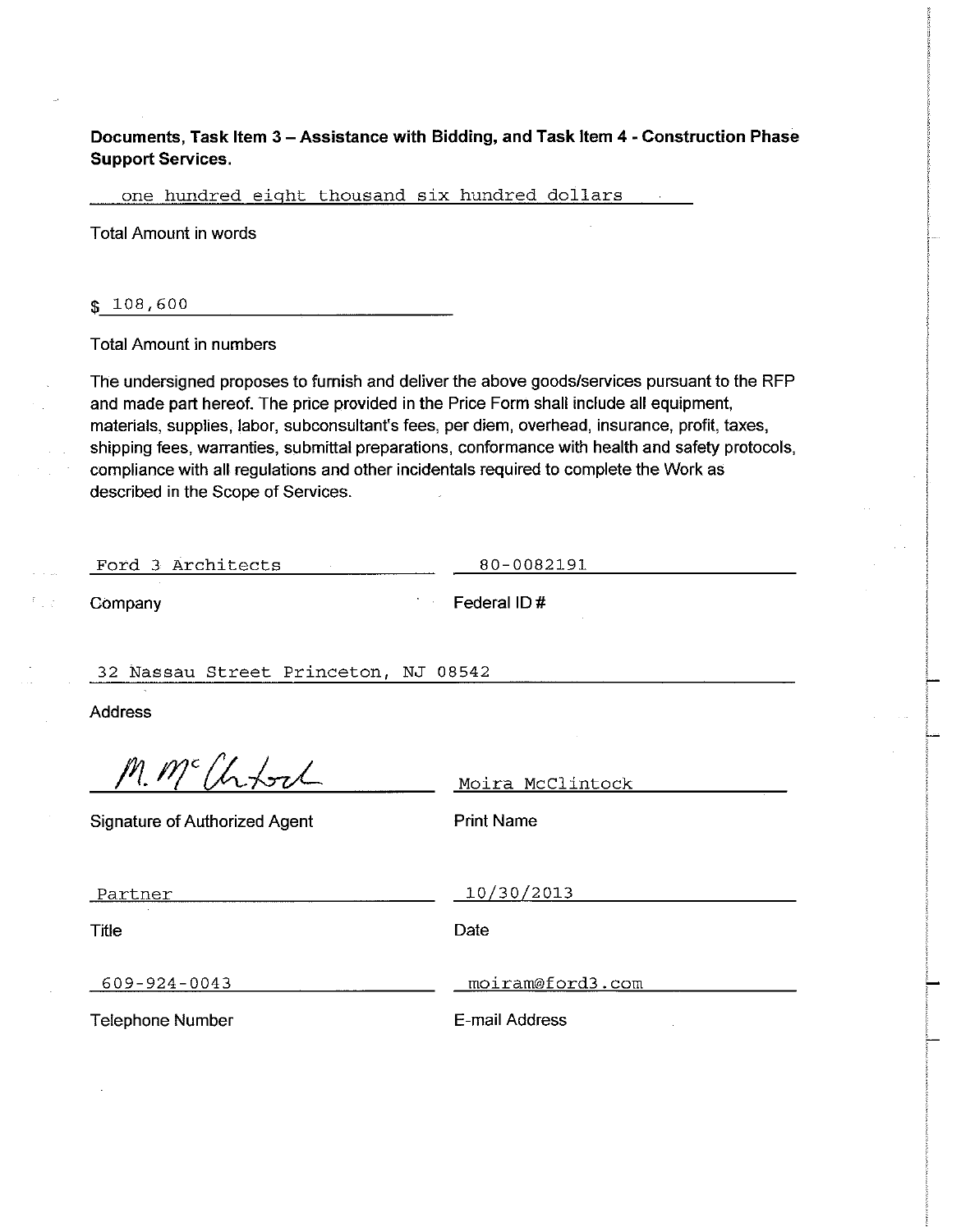Documents, Task Item 3 - Assistance with Bidding, and Task Item 4 - Construction Phase **Support Services.** 

one hundred eight thousand six hundred dollars

**Total Amount in words** 

 $$108,600$ 

**Total Amount in numbers** 

The undersigned proposes to furnish and deliver the above goods/services pursuant to the RFP and made part hereof. The price provided in the Price Form shall include all equipment, materials, supplies, labor, subconsultant's fees, per diem, overhead, insurance, profit, taxes, shipping fees, warranties, submittal preparations, conformance with health and safety protocols, compliance with all regulations and other incidentals required to complete the Work as described in the Scope of Services.

Ford 3 Architects

80-0082191

Company

Federal ID#

32 Nassau Street Princeton, NJ 08542

**Address** 

M. McChfort

Moira McClintock

**Signature of Authorized Agent** 

**Print Name** 

Partner

10/30/2013

**Title** 

Date

609-924-0043

moiram@ford3.com

**Telephone Number** 

E-mail Address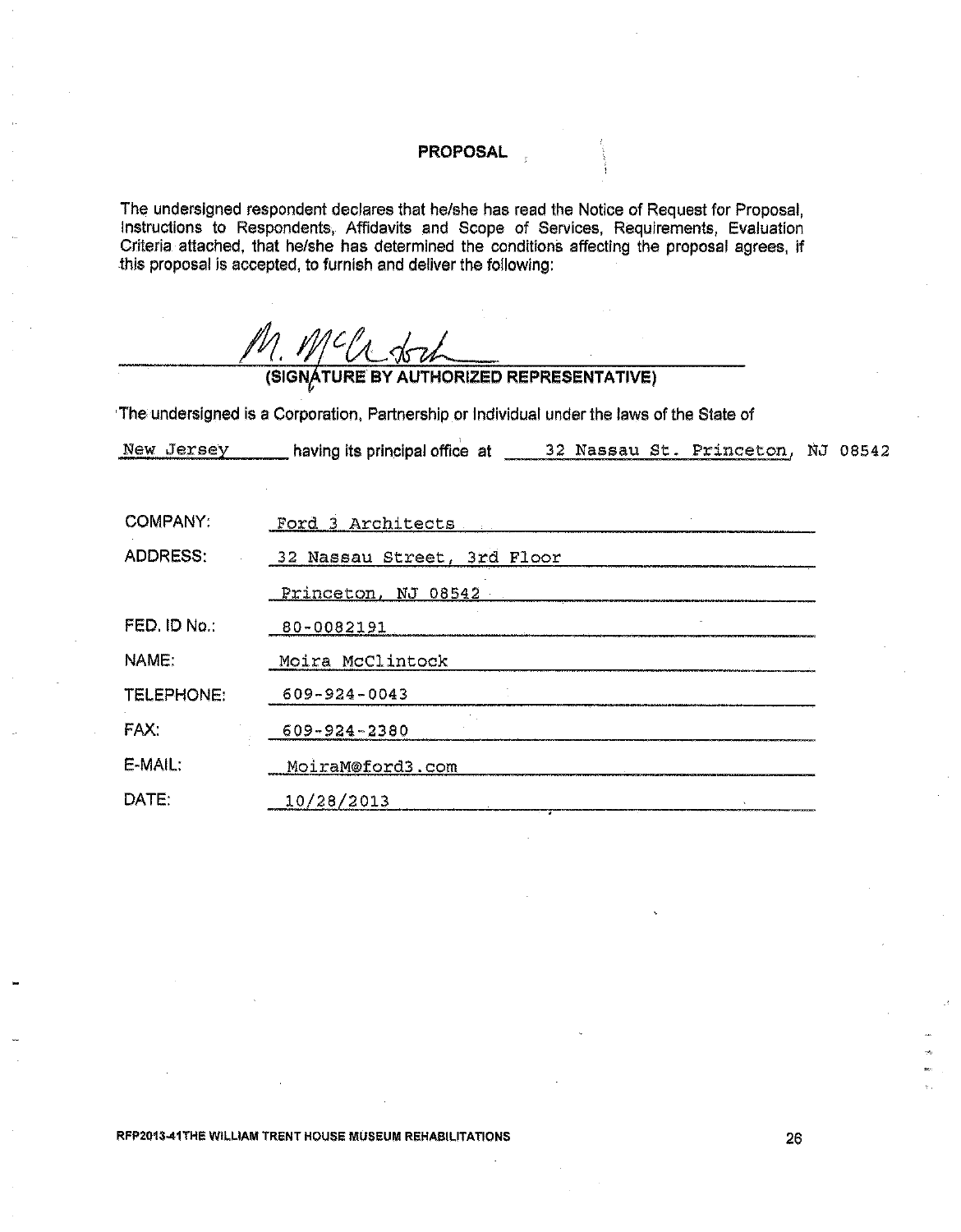## **PROPOSAL**

The undersigned respondent declares that he/she has read the Notice of Request for Proposal, Instructions to Respondents, Affidavits and Scope of Services, Requirements, Evaluation Criteria attached, that he/she has determ

|              | (SIGNÁTURE BY AUTHORIZED REPRESENTATIVE)                                                   |  |
|--------------|--------------------------------------------------------------------------------------------|--|
|              | The undersigned is a Corporation, Partnership or Individual under the laws of the State of |  |
|              |                                                                                            |  |
|              |                                                                                            |  |
| COMPANY:     | Ford 3 Architects                                                                          |  |
| ADDRESS:     | 32 Nassau Street, 3rd Floor                                                                |  |
|              | Princeton, NJ 08542                                                                        |  |
| FED. ID No.: | 80-0082191                                                                                 |  |
| NAME:        | Moira McClintock                                                                           |  |
| TELEPHONE:   | $609 - 924 - 0043$                                                                         |  |
| FAX:         | 609-924-2380                                                                               |  |
| $E-MAIL:$    | MoiraM@ford3.com                                                                           |  |
| DATE:        | 10/28/2013                                                                                 |  |
|              |                                                                                            |  |

RFP2013-41THE WILLIAM TRENT HOUSE MUSEUM REHABILITATIONS

26